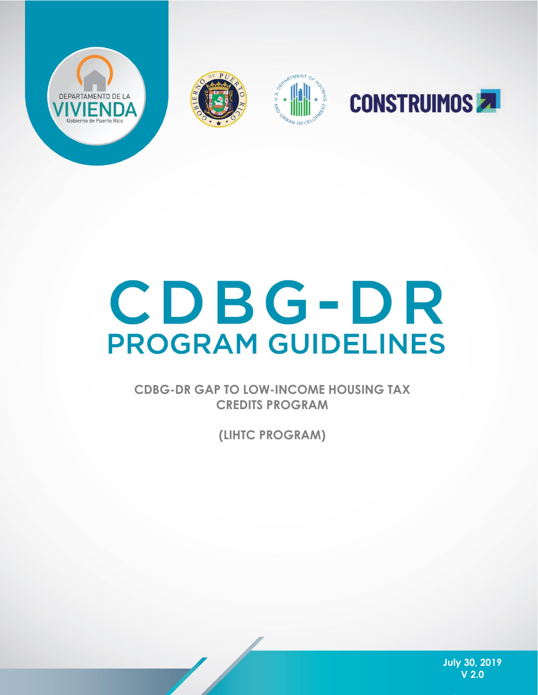







# CDBG-DR **PROGRAM GUIDELINES**

**CDBG-DR GAP TO LOW-INCOME HOUSING TAX CREDITS PROGRAM**

**(LIHTC PROGRAM)**

**July 30, 2019 V 2.0**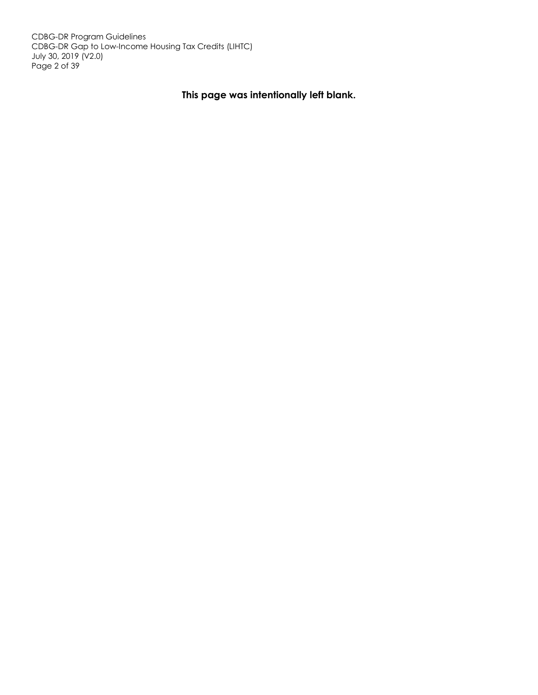CDBG-DR Program Guidelines CDBG-DR Gap to Low-Income Housing Tax Credits (LIHTC) July 30, 2019 (V2.0) Page 2 of 39

**This page was intentionally left blank.**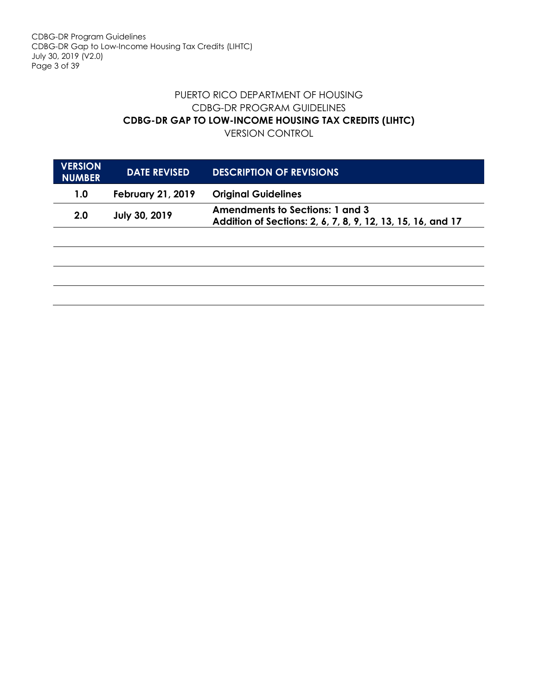## PUERTO RICO DEPARTMENT OF HOUSING CDBG-DR PROGRAM GUIDELINES **CDBG-DR GAP TO LOW-INCOME HOUSING TAX CREDITS (LIHTC)**

VERSION CONTROL

| <b>VERSION</b><br><b>NUMBER</b> | <b>DATE REVISED</b>      | <b>DESCRIPTION OF REVISIONS</b>                                                                       |
|---------------------------------|--------------------------|-------------------------------------------------------------------------------------------------------|
| 1.0                             | <b>February 21, 2019</b> | <b>Original Guidelines</b>                                                                            |
| 2.0                             | <b>July 30, 2019</b>     | <b>Amendments to Sections: 1 and 3</b><br>Addition of Sections: 2, 6, 7, 8, 9, 12, 13, 15, 16, and 17 |
|                                 |                          |                                                                                                       |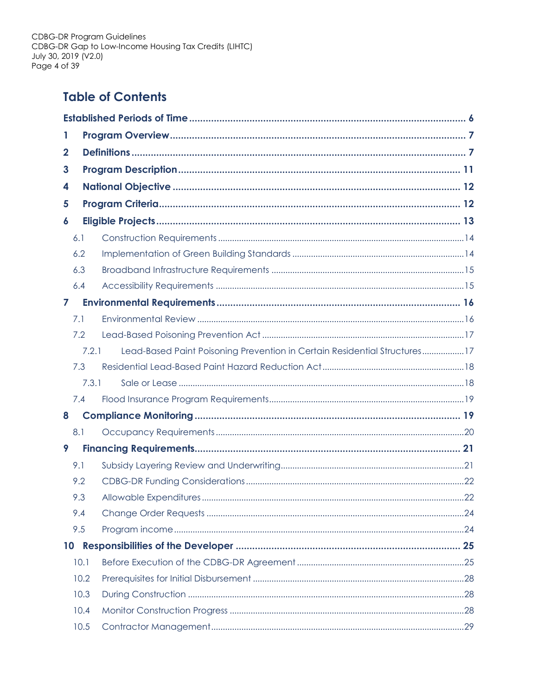# **Table of Contents**

| 1            |       |                                                                           |  |  |  |
|--------------|-------|---------------------------------------------------------------------------|--|--|--|
| $\mathbf{2}$ |       |                                                                           |  |  |  |
| 3            |       |                                                                           |  |  |  |
| 4            |       |                                                                           |  |  |  |
| 5            |       |                                                                           |  |  |  |
| 6            |       |                                                                           |  |  |  |
| 6.1          |       |                                                                           |  |  |  |
| 6.2          |       |                                                                           |  |  |  |
| 6.3          |       |                                                                           |  |  |  |
| 6.4          |       |                                                                           |  |  |  |
| 7            |       |                                                                           |  |  |  |
| 7.1          |       |                                                                           |  |  |  |
| 7.2          |       |                                                                           |  |  |  |
|              | 7.2.1 | Lead-Based Paint Poisoning Prevention in Certain Residential Structures17 |  |  |  |
| 7.3          |       |                                                                           |  |  |  |
|              | 7.3.1 |                                                                           |  |  |  |
| 7.4          |       |                                                                           |  |  |  |
| 8            |       |                                                                           |  |  |  |
| 8.1          |       |                                                                           |  |  |  |
| 9            |       |                                                                           |  |  |  |
| 9.1          |       |                                                                           |  |  |  |
| 9.2          |       |                                                                           |  |  |  |
| 9.3          |       |                                                                           |  |  |  |
| 9.4          |       |                                                                           |  |  |  |
| 9.5          |       |                                                                           |  |  |  |
|              |       |                                                                           |  |  |  |
|              | 10.1  |                                                                           |  |  |  |
|              | 10.2  |                                                                           |  |  |  |
|              | 10.3  |                                                                           |  |  |  |
|              | 10.4  |                                                                           |  |  |  |
|              | 10.5  |                                                                           |  |  |  |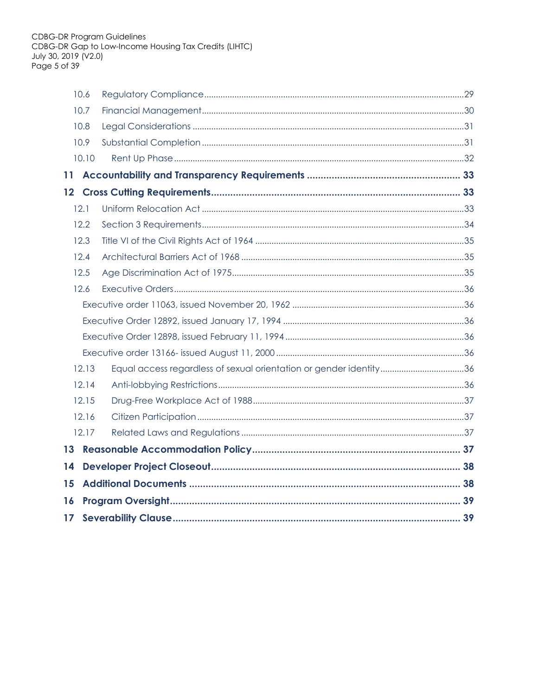| 10.6  |                                                                    |  |  |  |
|-------|--------------------------------------------------------------------|--|--|--|
| 10.7  |                                                                    |  |  |  |
| 10.8  |                                                                    |  |  |  |
| 10.9  |                                                                    |  |  |  |
| 10.10 |                                                                    |  |  |  |
|       |                                                                    |  |  |  |
|       |                                                                    |  |  |  |
| 12.1  |                                                                    |  |  |  |
| 12.2  |                                                                    |  |  |  |
| 12.3  |                                                                    |  |  |  |
| 12.4  |                                                                    |  |  |  |
| 12.5  |                                                                    |  |  |  |
| 12.6  |                                                                    |  |  |  |
|       |                                                                    |  |  |  |
|       |                                                                    |  |  |  |
|       |                                                                    |  |  |  |
|       |                                                                    |  |  |  |
| 12.13 | Equal access regardless of sexual orientation or gender identity36 |  |  |  |
| 12.14 |                                                                    |  |  |  |
| 12.15 |                                                                    |  |  |  |
| 12.16 |                                                                    |  |  |  |
| 12.17 |                                                                    |  |  |  |
| 13    |                                                                    |  |  |  |
| 14    |                                                                    |  |  |  |
| 15    |                                                                    |  |  |  |
| 16    |                                                                    |  |  |  |
|       |                                                                    |  |  |  |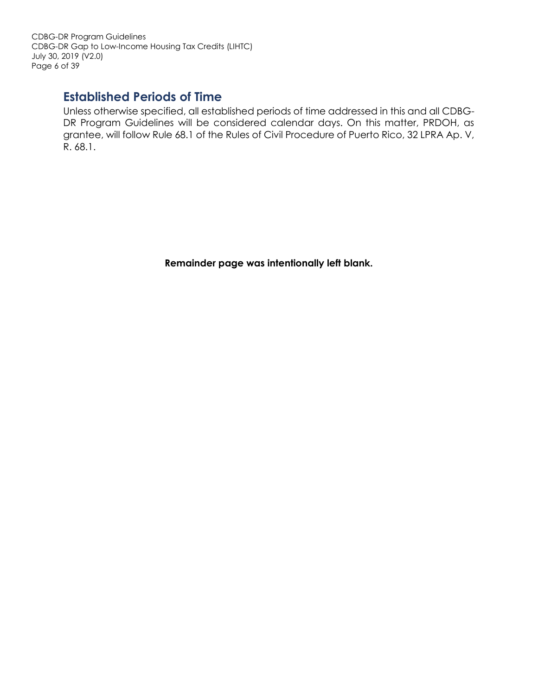CDBG-DR Program Guidelines CDBG-DR Gap to Low-Income Housing Tax Credits (LIHTC) July 30, 2019 (V2.0) Page 6 of 39

# <span id="page-5-0"></span>**Established Periods of Time**

Unless otherwise specified, all established periods of time addressed in this and all CDBG-DR Program Guidelines will be considered calendar days. On this matter, PRDOH, as grantee, will follow Rule 68.1 of the Rules of Civil Procedure of Puerto Rico, 32 LPRA Ap. V, R. 68.1.

**Remainder page was intentionally left blank.**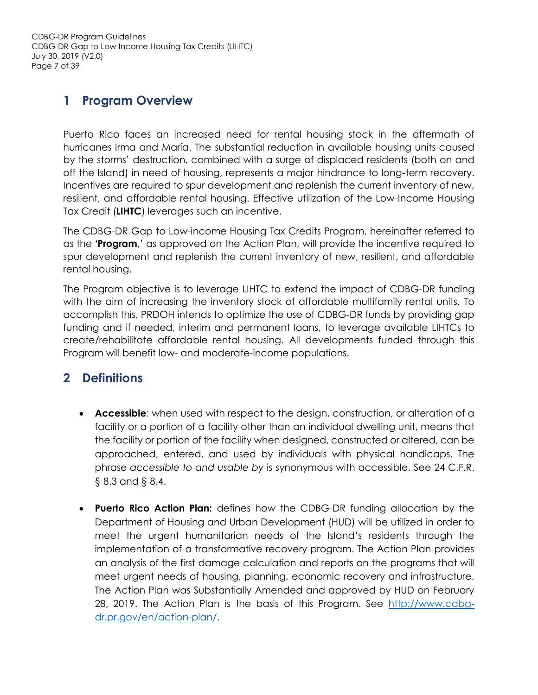CDBG-DR Program Guidelines CDBG-DR Gap to Low-Income Housing Tax Credits (LIHTC) July 30, 2019 (V2.0) Page 7 of 39

# <span id="page-6-0"></span>**1 Program Overview**

Puerto Rico faces an increased need for rental housing stock in the aftermath of hurricanes Irma and María. The substantial reduction in available housing units caused by the storms' destruction, combined with a surge of displaced residents (both on and off the Island) in need of housing, represents a major hindrance to long-term recovery. Incentives are required to spur development and replenish the current inventory of new, resilient, and affordable rental housing. Effective utilization of the Low-Income Housing Tax Credit (**LIHTC**) leverages such an incentive.

The CDBG-DR Gap to Low-income Housing Tax Credits Program, hereinafter referred to as the **'Program**,' as approved on the Action Plan, will provide the incentive required to spur development and replenish the current inventory of new, resilient, and affordable rental housing.

The Program objective is to leverage LIHTC to extend the impact of CDBG-DR funding with the aim of increasing the inventory stock of affordable multifamily rental units. To accomplish this, PRDOH intends to optimize the use of CDBG-DR funds by providing gap funding and if needed, interim and permanent loans, to leverage available LIHTCs to create/rehabilitate affordable rental housing. All developments funded through this Program will benefit low- and moderate-income populations.

# <span id="page-6-1"></span>**2 Definitions**

- **Accessible**: when used with respect to the design, construction, or alteration of a facility or a portion of a facility other than an individual dwelling unit, means that the facility or portion of the facility when designed, constructed or altered, can be approached, entered, and used by individuals with physical handicaps. The phrase *accessible to and usable by* is synonymous with accessible. See 24 C.F.R. § 8.3 and § 8.4.
- **Puerto Rico Action Plan:** defines how the CDBG-DR funding allocation by the Department of Housing and Urban Development (HUD) will be utilized in order to meet the urgent humanitarian needs of the Island's residents through the implementation of a transformative recovery program. The Action Plan provides an analysis of the first damage calculation and reports on the programs that will meet urgent needs of housing, planning, economic recovery and infrastructure. The Action Plan was Substantially Amended and approved by HUD on February 28, 2019. The Action Plan is the basis of this Program. See [http://www.cdbg](http://www.cdbg-dr.pr.gov/en/action-plan/)[dr.pr.gov/en/action-plan/.](http://www.cdbg-dr.pr.gov/en/action-plan/)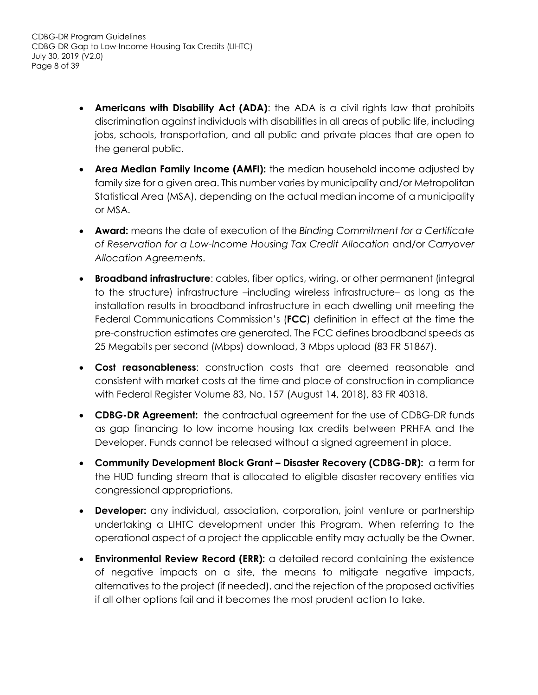- **Americans with Disability Act (ADA)**: the ADA is a civil rights law that prohibits discrimination against individuals with disabilities in all areas of public life, including jobs, schools, transportation, and all public and private places that are open to the general public.
- **Area Median Family Income (AMFI):** the median household income adjusted by family size for a given area. This number varies by municipality and/or Metropolitan Statistical Area (MSA), depending on the actual median income of a municipality or MSA.
- **Award:** means the date of execution of the *Binding Commitment for a Certificate of Reservation for a Low-Income Housing Tax Credit Allocation* and/or *Carryover Allocation Agreements*.
- **Broadband infrastructure**: cables, fiber optics, wiring, or other permanent (integral to the structure) infrastructure –including wireless infrastructure– as long as the installation results in broadband infrastructure in each dwelling unit meeting the Federal Communications Commission's (**FCC**) definition in effect at the time the pre-construction estimates are generated. The FCC defines broadband speeds as 25 Megabits per second (Mbps) download, 3 Mbps upload (83 FR 51867).
- **Cost reasonableness**: construction costs that are deemed reasonable and consistent with market costs at the time and place of construction in compliance with Federal Register Volume 83, No. 157 (August 14, 2018), 83 FR 40318.
- **CDBG-DR Agreement:** the contractual agreement for the use of CDBG-DR funds as gap financing to low income housing tax credits between PRHFA and the Developer. Funds cannot be released without a signed agreement in place.
- **Community Development Block Grant – Disaster Recovery (CDBG-DR):** a term for the HUD funding stream that is allocated to eligible disaster recovery entities via congressional appropriations.
- **Developer:** any individual, association, corporation, joint venture or partnership undertaking a LIHTC development under this Program. When referring to the operational aspect of a project the applicable entity may actually be the Owner.
- **Environmental Review Record (ERR):** a detailed record containing the existence of negative impacts on a site, the means to mitigate negative impacts, alternatives to the project (if needed), and the rejection of the proposed activities if all other options fail and it becomes the most prudent action to take.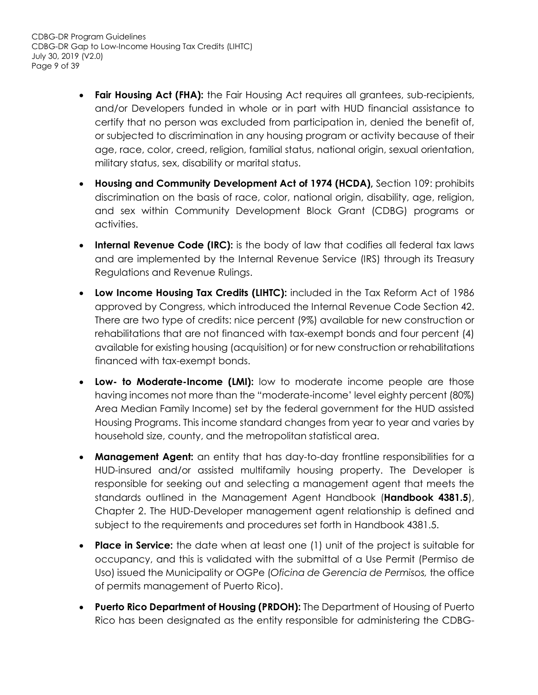CDBG-DR Program Guidelines CDBG-DR Gap to Low-Income Housing Tax Credits (LIHTC) July 30, 2019 (V2.0) Page 9 of 39

- **Fair Housing Act (FHA):** the Fair Housing Act requires all grantees, sub-recipients, and/or Developers funded in whole or in part with HUD financial assistance to certify that no person was excluded from participation in, denied the benefit of, or subjected to discrimination in any housing program or activity because of their age, race, color, creed, religion, familial status, national origin, sexual orientation, military status, sex, disability or marital status.
- **Housing and Community Development Act of 1974 (HCDA),** Section 109: prohibits discrimination on the basis of race, color, national origin, disability, age, religion, and sex within Community Development Block Grant (CDBG) programs or activities.
- **Internal Revenue Code (IRC):** is the body of law that codifies all federal tax laws and are implemented by the Internal Revenue Service (IRS) through its Treasury Regulations and Revenue Rulings.
- **Low Income Housing Tax Credits (LIHTC):** included in the Tax Reform Act of 1986 approved by Congress, which introduced the Internal Revenue Code Section 42. There are two type of credits: nice percent (9%) available for new construction or rehabilitations that are not financed with tax-exempt bonds and four percent (4) available for existing housing (acquisition) or for new construction or rehabilitations financed with tax-exempt bonds.
- **Low- to Moderate-Income (LMI):** low to moderate income people are those having incomes not more than the "moderate-income' level eighty percent (80%) Area Median Family Income) set by the federal government for the HUD assisted Housing Programs. This income standard changes from year to year and varies by household size, county, and the metropolitan statistical area.
- **Management Agent:** an entity that has day-to-day frontline responsibilities for a HUD-insured and/or assisted multifamily housing property. The Developer is responsible for seeking out and selecting a management agent that meets the standards outlined in the Management Agent Handbook (**Handbook 4381.5**), Chapter 2. The HUD-Developer management agent relationship is defined and subject to the requirements and procedures set forth in Handbook 4381.5.
- **Place in Service:** the date when at least one (1) unit of the project is suitable for occupancy, and this is validated with the submittal of a Use Permit (Permiso de Uso) issued the Municipality or OGPe (*Oficina de Gerencia de Permisos,* the office of permits management of Puerto Rico).
- **Puerto Rico Department of Housing (PRDOH):** The Department of Housing of Puerto Rico has been designated as the entity responsible for administering the CDBG-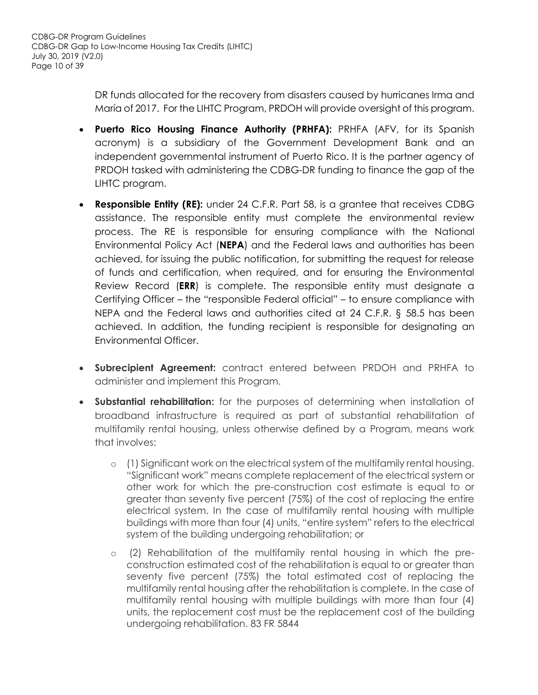DR funds allocated for the recovery from disasters caused by hurricanes Irma and María of 2017. For the LIHTC Program, PRDOH will provide oversight of this program.

- **Puerto Rico Housing Finance Authority (PRHFA):** PRHFA (AFV, for its Spanish acronym) is a subsidiary of the Government Development Bank and an independent governmental instrument of Puerto Rico. It is the partner agency of PRDOH tasked with administering the CDBG-DR funding to finance the gap of the LIHTC program.
- **Responsible Entity (RE):** under 24 C.F.R. Part 58, is a grantee that receives CDBG assistance. The responsible entity must complete the environmental review process. The RE is responsible for ensuring compliance with the National Environmental Policy Act (**NEPA**) and the Federal laws and authorities has been achieved, for issuing the public notification, for submitting the request for release of funds and certification, when required, and for ensuring the Environmental Review Record (**ERR**) is complete. The responsible entity must designate a Certifying Officer – the "responsible Federal official" – to ensure compliance with NEPA and the Federal laws and authorities cited at 24 C.F.R. § 58.5 has been achieved. In addition, the funding recipient is responsible for designating an Environmental Officer.
- **Subrecipient Agreement:** contract entered between PRDOH and PRHFA to administer and implement this Program.
- **Substantial rehabilitation:** for the purposes of determining when installation of broadband infrastructure is required as part of substantial rehabilitation of multifamily rental housing, unless otherwise defined by a Program, means work that involves:
	- o (1) Significant work on the electrical system of the multifamily rental housing. "Significant work" means complete replacement of the electrical system or other work for which the pre-construction cost estimate is equal to or greater than seventy five percent (75%) of the cost of replacing the entire electrical system. In the case of multifamily rental housing with multiple buildings with more than four (4) units, "entire system" refers to the electrical system of the building undergoing rehabilitation; or
	- o (2) Rehabilitation of the multifamily rental housing in which the preconstruction estimated cost of the rehabilitation is equal to or greater than seventy five percent (75%) the total estimated cost of replacing the multifamily rental housing after the rehabilitation is complete. In the case of multifamily rental housing with multiple buildings with more than four (4) units, the replacement cost must be the replacement cost of the building undergoing rehabilitation. 83 FR 5844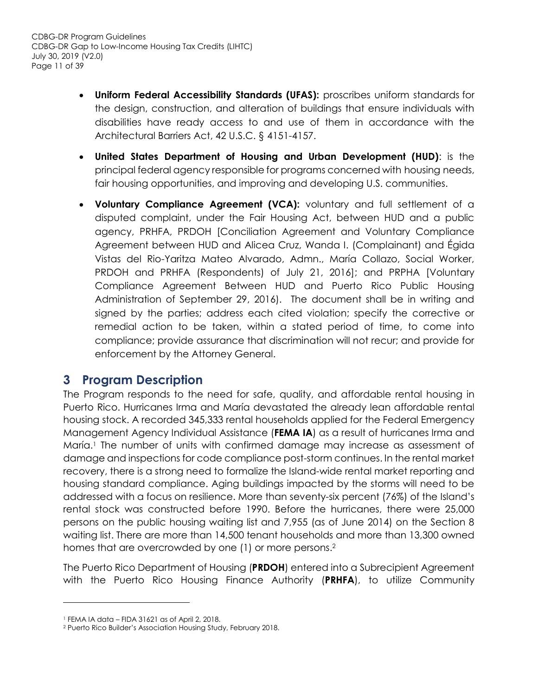- **Uniform Federal Accessibility Standards (UFAS):** proscribes uniform standards for the design, construction, and alteration of buildings that ensure individuals with disabilities have ready access to and use of them in accordance with the Architectural Barriers Act, 42 U.S.C. § 4151-4157.
- **United States Department of Housing and Urban Development (HUD)**: is the principal federal agency responsible for programs concerned with housing needs, fair housing opportunities, and improving and developing U.S. communities.
- **Voluntary Compliance Agreement (VCA):** voluntary and full settlement of a disputed complaint, under the Fair Housing Act, between HUD and a public agency, PRHFA, PRDOH [Conciliation Agreement and Voluntary Compliance Agreement between HUD and Alicea Cruz, Wanda I. (Complainant) and Égida Vistas del Rio-Yaritza Mateo Alvarado, Admn., María Collazo, Social Worker, PRDOH and PRHFA (Respondents) of July 21, 2016]; and PRPHA [Voluntary Compliance Agreement Between HUD and Puerto Rico Public Housing Administration of September 29, 2016). The document shall be in writing and signed by the parties; address each cited violation; specify the corrective or remedial action to be taken, within a stated period of time, to come into compliance; provide assurance that discrimination will not recur; and provide for enforcement by the Attorney General.

# <span id="page-10-0"></span>**3 Program Description**

The Program responds to the need for safe, quality, and affordable rental housing in Puerto Rico. Hurricanes Irma and María devastated the already lean affordable rental housing stock. A recorded 345,333 rental households applied for the Federal Emergency Management Agency Individual Assistance (**FEMA IA**) as a result of hurricanes Irma and María. <sup>1</sup> The number of units with confirmed damage may increase as assessment of damage and inspections for code compliance post-storm continues. In the rental market recovery, there is a strong need to formalize the Island-wide rental market reporting and housing standard compliance. Aging buildings impacted by the storms will need to be addressed with a focus on resilience. More than seventy-six percent (76%) of the Island's rental stock was constructed before 1990. Before the hurricanes, there were 25,000 persons on the public housing waiting list and 7,955 (as of June 2014) on the Section 8 waiting list. There are more than 14,500 tenant households and more than 13,300 owned homes that are overcrowded by one (1) or more persons. 2

The Puerto Rico Department of Housing (**PRDOH**) entered into a Subrecipient Agreement with the Puerto Rico Housing Finance Authority (**PRHFA**), to utilize Community

<sup>1</sup> FEMA IA data – FIDA 31621 as of April 2, 2018.

<sup>2</sup> Puerto Rico Builder's Association Housing Study, February 2018.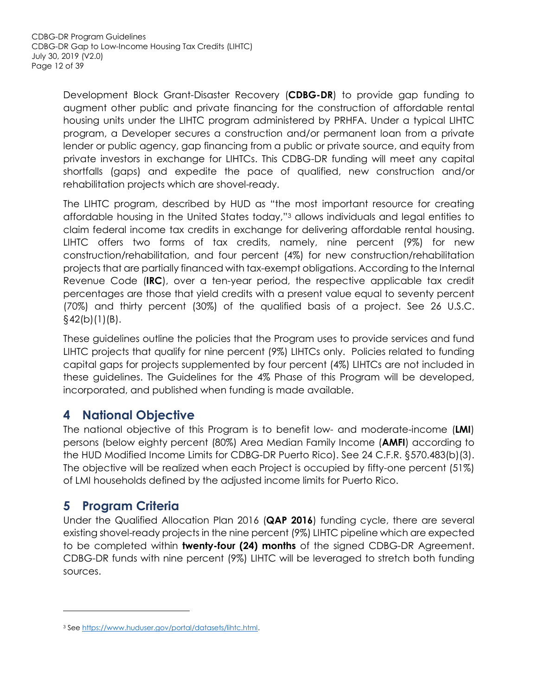Development Block Grant-Disaster Recovery (**CDBG-DR**) to provide gap funding to augment other public and private financing for the construction of affordable rental housing units under the LIHTC program administered by PRHFA. Under a typical LIHTC program, a Developer secures a construction and/or permanent loan from a private lender or public agency, gap financing from a public or private source, and equity from private investors in exchange for LIHTCs. This CDBG-DR funding will meet any capital shortfalls (gaps) and expedite the pace of qualified, new construction and/or rehabilitation projects which are shovel-ready.

The LIHTC program, described by HUD as "the most important resource for creating affordable housing in the United States today,"<sup>3</sup> allows individuals and legal entities to claim federal income tax credits in exchange for delivering affordable rental housing. LIHTC offers two forms of tax credits, namely, nine percent (9%) for new construction/rehabilitation, and four percent (4%) for new construction/rehabilitation projects that are partially financed with tax-exempt obligations. According to the Internal Revenue Code (**IRC**), over a ten-year period, the respective applicable tax credit percentages are those that yield credits with a present value equal to seventy percent (70%) and thirty percent (30%) of the qualified basis of a project. See 26 U.S.C. §42(b)(1)(B).

These guidelines outline the policies that the Program uses to provide services and fund LIHTC projects that qualify for nine percent (9%) LIHTCs only. Policies related to funding capital gaps for projects supplemented by four percent (4%) LIHTCs are not included in these guidelines. The Guidelines for the 4% Phase of this Program will be developed, incorporated, and published when funding is made available.

# <span id="page-11-0"></span>**4 National Objective**

The national objective of this Program is to benefit low- and moderate-income (**LMI**) persons (below eighty percent (80%) Area Median Family Income (**AMFI**) according to the HUD Modified Income Limits for CDBG-DR Puerto Rico). See 24 C.F.R. §570.483(b)(3). The objective will be realized when each Project is occupied by fifty-one percent (51%) of LMI households defined by the adjusted income limits for Puerto Rico.

# <span id="page-11-1"></span>**5 Program Criteria**

Under the Qualified Allocation Plan 2016 (**QAP 2016**) funding cycle, there are several existing shovel-ready projects in the nine percent (9%) LIHTC pipeline which are expected to be completed within **twenty-four (24) months** of the signed CDBG-DR Agreement. CDBG-DR funds with nine percent (9%) LIHTC will be leveraged to stretch both funding sources.

<sup>3</sup> Se[e https://www.huduser.gov/portal/datasets/lihtc.html.](https://www.huduser.gov/portal/datasets/lihtc.html)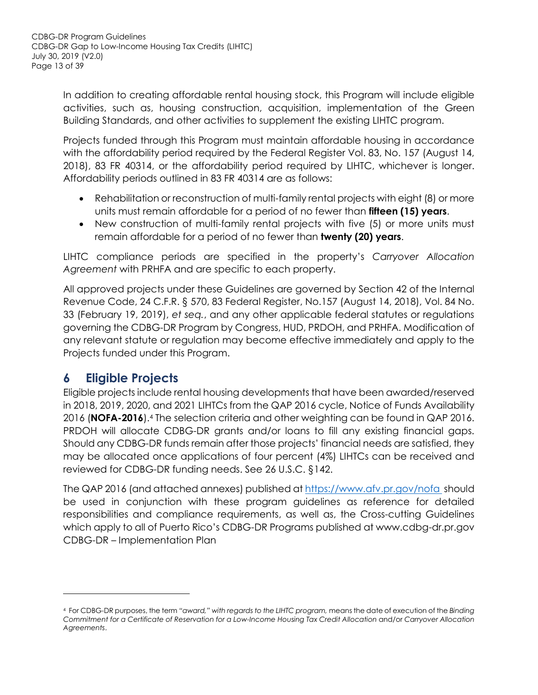In addition to creating affordable rental housing stock, this Program will include eligible activities, such as, housing construction, acquisition, implementation of the Green Building Standards, and other activities to supplement the existing LIHTC program.

Projects funded through this Program must maintain affordable housing in accordance with the affordability period required by the Federal Register Vol. 83, No. 157 (August 14, 2018), 83 FR 40314, or the affordability period required by LIHTC, whichever is longer. Affordability periods outlined in 83 FR 40314 are as follows:

- Rehabilitation or reconstruction of multi-family rental projects with eight (8) or more units must remain affordable for a period of no fewer than **fifteen (15) years**.
- New construction of multi-family rental projects with five (5) or more units must remain affordable for a period of no fewer than **twenty (20) years**.

LIHTC compliance periods are specified in the property's *Carryover Allocation Agreement* with PRHFA and are specific to each property.

All approved projects under these Guidelines are governed by Section 42 of the Internal Revenue Code, 24 C.F.R. § 570, 83 Federal Register, No.157 (August 14, 2018), Vol. 84 No. 33 (February 19, 2019), *et seq.*, and any other applicable federal statutes or regulations governing the CDBG-DR Program by Congress, HUD, PRDOH, and PRHFA. Modification of any relevant statute or regulation may become effective immediately and apply to the Projects funded under this Program.

# <span id="page-12-0"></span>**6 Eligible Projects**

Eligible projects include rental housing developments that have been awarded/reserved in 2018, 2019, 2020, and 2021 LIHTCs from the QAP 2016 cycle, Notice of Funds Availability 2016 (**NOFA-2016**).<sup>4</sup> The selection criteria and other weighting can be found in QAP 2016. PRDOH will allocate CDBG-DR grants and/or loans to fill any existing financial gaps. Should any CDBG-DR funds remain after those projects' financial needs are satisfied, they may be allocated once applications of four percent (4%) LIHTCs can be received and reviewed for CDBG-DR funding needs. See 26 U.S.C. §142.

The QAP 2016 (and attached annexes) published at<https://www.afv.pr.gov/nofa> should be used in conjunction with these program guidelines as reference for detailed responsibilities and compliance requirements, as well as, the Cross-cutting Guidelines which apply to all of Puerto Rico's CDBG-DR Programs published at www.cdbg-dr.pr.gov CDBG-DR – Implementation Plan

<sup>4</sup> For CDBG-DR purposes, the term *"award," with regards to the LIHTC program,* means the date of execution of the *Binding Commitment for a Certificate of Reservation for a Low-Income Housing Tax Credit Allocation* and/or *Carryover Allocation Agreements*.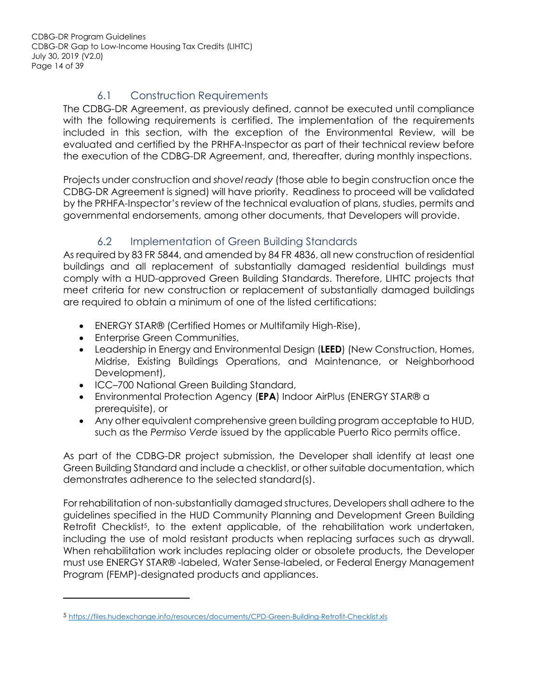CDBG-DR Program Guidelines CDBG-DR Gap to Low-Income Housing Tax Credits (LIHTC) July 30, 2019 (V2.0) Page 14 of 39

## <span id="page-13-0"></span>6.1 Construction Requirements

The CDBG-DR Agreement, as previously defined, cannot be executed until compliance with the following requirements is certified. The implementation of the requirements included in this section, with the exception of the Environmental Review, will be evaluated and certified by the PRHFA-Inspector as part of their technical review before the execution of the CDBG-DR Agreement, and, thereafter, during monthly inspections.

Projects under construction and *shovel ready* (those able to begin construction once the CDBG-DR Agreement is signed) will have priority. Readiness to proceed will be validated by the PRHFA-Inspector's review of the technical evaluation of plans, studies, permits and governmental endorsements, among other documents, that Developers will provide.

## 6.2 Implementation of Green Building Standards

<span id="page-13-1"></span>As required by 83 FR 5844, and amended by 84 FR 4836, all new construction of residential buildings and all replacement of substantially damaged residential buildings must comply with a HUD-approved Green Building Standards. Therefore, LIHTC projects that meet criteria for new construction or replacement of substantially damaged buildings are required to obtain a minimum of one of the listed certifications:

- ENERGY STAR® (Certified Homes or Multifamily High-Rise),
- Enterprise Green Communities,

- Leadership in Energy and Environmental Design (**LEED**) (New Construction, Homes, Midrise, Existing Buildings Operations, and Maintenance, or Neighborhood Development),
- ICC–700 National Green Building Standard,
- Environmental Protection Agency (**EPA**) Indoor AirPlus (ENERGY STAR® a prerequisite), or
- Any other equivalent comprehensive green building program acceptable to HUD, such as the *Permiso Verde* issued by the applicable Puerto Rico permits office.

As part of the CDBG-DR project submission, the Developer shall identify at least one Green Building Standard and include a checklist, or other suitable documentation, which demonstrates adherence to the selected standard(s).

For rehabilitation of non-substantially damaged structures, Developers shall adhere to the guidelines specified in the HUD Community Planning and Development Green Building Retrofit Checklist<sup>5</sup>, to the extent applicable, of the rehabilitation work undertaken, including the use of mold resistant products when replacing surfaces such as drywall. When rehabilitation work includes replacing older or obsolete products, the Developer must use ENERGY STAR® -labeled, Water Sense-labeled, or Federal Energy Management Program (FEMP)-designated products and appliances.

<sup>5</sup> <https://files.hudexchange.info/resources/documents/CPD-Green-Building-Retrofit-Checklist.xls>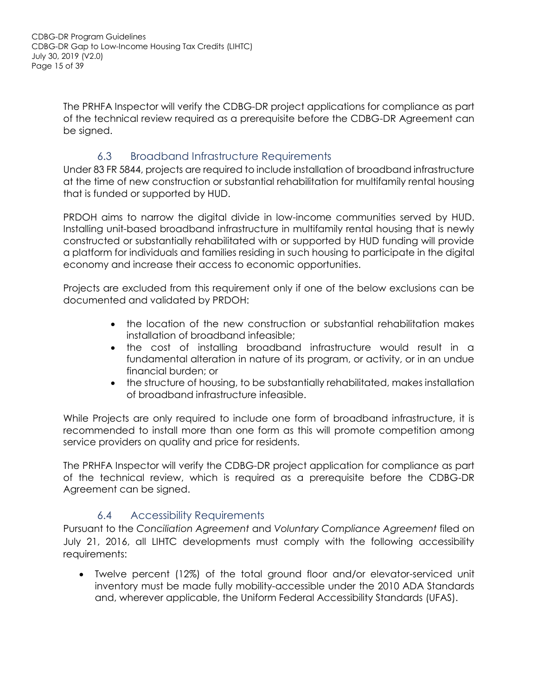The PRHFA Inspector will verify the CDBG-DR project applications for compliance as part of the technical review required as a prerequisite before the CDBG-DR Agreement can be signed.

#### 6.3 Broadband Infrastructure Requirements

<span id="page-14-0"></span>Under 83 FR 5844, projects are required to include installation of broadband infrastructure at the time of new construction or substantial rehabilitation for multifamily rental housing that is funded or supported by HUD.

PRDOH aims to narrow the digital divide in low-income communities served by HUD. Installing unit-based broadband infrastructure in multifamily rental housing that is newly constructed or substantially rehabilitated with or supported by HUD funding will provide a platform for individuals and families residing in such housing to participate in the digital economy and increase their access to economic opportunities.

Projects are excluded from this requirement only if one of the below exclusions can be documented and validated by PRDOH:

- the location of the new construction or substantial rehabilitation makes installation of broadband infeasible;
- the cost of installing broadband infrastructure would result in a fundamental alteration in nature of its program, or activity, or in an undue financial burden; or
- the structure of housing, to be substantially rehabilitated, makes installation of broadband infrastructure infeasible.

While Projects are only required to include one form of broadband infrastructure, it is recommended to install more than one form as this will promote competition among service providers on quality and price for residents.

The PRHFA Inspector will verify the CDBG-DR project application for compliance as part of the technical review, which is required as a prerequisite before the CDBG-DR Agreement can be signed.

#### 6.4 Accessibility Requirements

<span id="page-14-1"></span>Pursuant to the *Conciliation Agreement* and *Voluntary Compliance Agreement* filed on July 21, 2016, all LIHTC developments must comply with the following accessibility requirements:

 Twelve percent (12%) of the total ground floor and/or elevator-serviced unit inventory must be made fully mobility-accessible under the 2010 ADA Standards and, wherever applicable, the Uniform Federal Accessibility Standards (UFAS).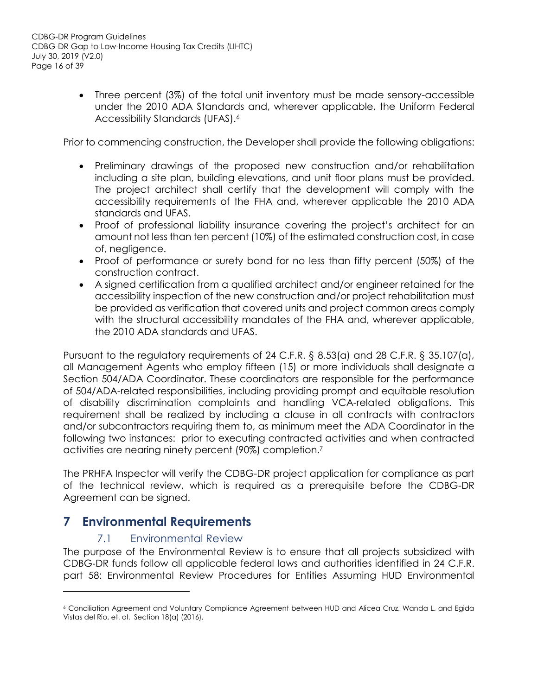Three percent (3%) of the total unit inventory must be made sensory-accessible under the 2010 ADA Standards and, wherever applicable, the Uniform Federal Accessibility Standards (UFAS).<sup>6</sup>

Prior to commencing construction, the Developer shall provide the following obligations:

- Preliminary drawings of the proposed new construction and/or rehabilitation including a site plan, building elevations, and unit floor plans must be provided. The project architect shall certify that the development will comply with the accessibility requirements of the FHA and, wherever applicable the 2010 ADA standards and UFAS.
- Proof of professional liability insurance covering the project's architect for an amount not less than ten percent (10%) of the estimated construction cost, in case of, negligence.
- Proof of performance or surety bond for no less than fifty percent (50%) of the construction contract.
- A signed certification from a qualified architect and/or engineer retained for the accessibility inspection of the new construction and/or project rehabilitation must be provided as verification that covered units and project common areas comply with the structural accessibility mandates of the FHA and, wherever applicable, the 2010 ADA standards and UFAS.

Pursuant to the regulatory requirements of 24 C.F.R. § 8.53(a) and 28 C.F.R. § 35.107(a), all Management Agents who employ fifteen (15) or more individuals shall designate a Section 504/ADA Coordinator. These coordinators are responsible for the performance of 504/ADA-related responsibilities, including providing prompt and equitable resolution of disability discrimination complaints and handling VCA-related obligations. This requirement shall be realized by including a clause in all contracts with contractors and/or subcontractors requiring them to, as minimum meet the ADA Coordinator in the following two instances: prior to executing contracted activities and when contracted activities are nearing ninety percent (90%) completion.<sup>7</sup>

The PRHFA Inspector will verify the CDBG-DR project application for compliance as part of the technical review, which is required as a prerequisite before the CDBG-DR Agreement can be signed.

# <span id="page-15-0"></span>**7 Environmental Requirements**

#### <span id="page-15-1"></span>7.1 Environmental Review

The purpose of the Environmental Review is to ensure that all projects subsidized with CDBG‐DR funds follow all applicable federal laws and authorities identified in 24 C.F.R. part 58: Environmental Review Procedures for Entities Assuming HUD Environmental

<sup>6</sup> Conciliation Agreement and Voluntary Compliance Agreement between HUD and Alicea Cruz, Wanda L. and Egida Vistas del Rio, et. al. Section 18(a) (2016).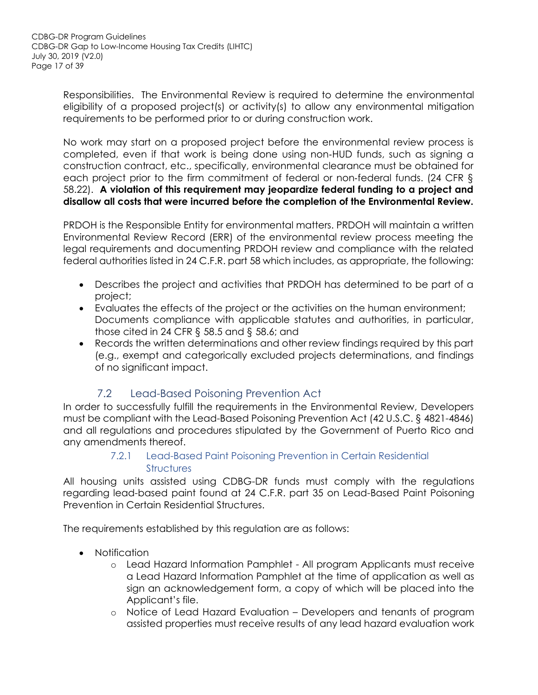Responsibilities. The Environmental Review is required to determine the environmental eligibility of a proposed project(s) or activity(s) to allow any environmental mitigation requirements to be performed prior to or during construction work.

No work may start on a proposed project before the environmental review process is completed, even if that work is being done using non‐HUD funds, such as signing a construction contract, etc., specifically, environmental clearance must be obtained for each project prior to the firm commitment of federal or non-federal funds. (24 CFR § 58.22). **A violation of this requirement may jeopardize federal funding to a project and disallow all costs that were incurred before the completion of the Environmental Review.**

PRDOH is the Responsible Entity for environmental matters. PRDOH will maintain a written Environmental Review Record (ERR) of the environmental review process meeting the legal requirements and documenting PRDOH review and compliance with the related federal authorities listed in 24 C.F.R. part 58 which includes, as appropriate, the following:

- Describes the project and activities that PRDOH has determined to be part of a project;
- Evaluates the effects of the project or the activities on the human environment; Documents compliance with applicable statutes and authorities, in particular, those cited in 24 CFR § 58.5 and § 58.6; and
- Records the written determinations and other review findings required by this part (e.g., exempt and categorically excluded projects determinations, and findings of no significant impact.

## 7.2 Lead-Based Poisoning Prevention Act

<span id="page-16-0"></span>In order to successfully fulfill the requirements in the Environmental Review, Developers must be compliant with the Lead-Based Poisoning Prevention Act (42 U.S.C. § 4821-4846) and all regulations and procedures stipulated by the Government of Puerto Rico and any amendments thereof.

#### 7.2.1 Lead-Based Paint Poisoning Prevention in Certain Residential **Structures**

<span id="page-16-1"></span>All housing units assisted using CDBG-DR funds must comply with the regulations regarding lead-based paint found at 24 C.F.R. part 35 on Lead-Based Paint Poisoning Prevention in Certain Residential Structures.

The requirements established by this regulation are as follows:

- Notification
	- o Lead Hazard Information Pamphlet All program Applicants must receive a Lead Hazard Information Pamphlet at the time of application as well as sign an acknowledgement form, a copy of which will be placed into the Applicant's file.
	- o Notice of Lead Hazard Evaluation Developers and tenants of program assisted properties must receive results of any lead hazard evaluation work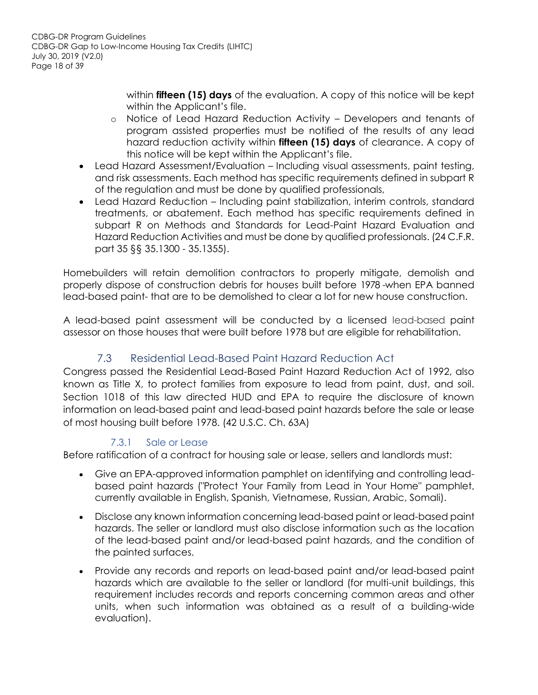within **fifteen (15) days** of the evaluation. A copy of this notice will be kept within the Applicant's file.

- o Notice of Lead Hazard Reduction Activity Developers and tenants of program assisted properties must be notified of the results of any lead hazard reduction activity within **fifteen (15) days** of clearance. A copy of this notice will be kept within the Applicant's file.
- Lead Hazard Assessment/Evaluation Including visual assessments, paint testing, and risk assessments. Each method has specific requirements defined in subpart R of the regulation and must be done by qualified professionals,
- Lead Hazard Reduction Including paint stabilization, interim controls, standard treatments, or abatement. Each method has specific requirements defined in subpart R on Methods and Standards for Lead-Paint Hazard Evaluation and Hazard Reduction Activities and must be done by qualified professionals. (24 C.F.R. part 35 §§ 35.1300 - 35.1355).

Homebuilders will retain demolition contractors to properly mitigate, demolish and properly dispose of construction debris for houses built before 1978 -when EPA banned lead-based paint- that are to be demolished to clear a lot for new house construction.

A lead-based paint assessment will be conducted by a licensed lead-based paint assessor on those houses that were built before 1978 but are eligible for rehabilitation.

## 7.3 Residential Lead-Based Paint Hazard Reduction Act

<span id="page-17-0"></span>Congress passed the Residential Lead-Based Paint Hazard Reduction Act of 1992, also known as Title X, to protect families from exposure to lead from paint, dust, and soil. Section 1018 of this law directed HUD and EPA to require the disclosure of known information on lead-based paint and lead-based paint hazards before the sale or lease of most housing built before 1978. (42 U.S.C. Ch. 63A)

#### 7.3.1 Sale or Lease

<span id="page-17-1"></span>Before ratification of a contract for housing sale or lease, sellers and landlords must:

- Give an EPA-approved information pamphlet on identifying and controlling leadbased paint hazards ("Protect Your Family from Lead in Your Home" pamphlet, currently available in English, Spanish, Vietnamese, Russian, Arabic, Somali).
- Disclose any known information concerning lead-based paint or lead-based paint hazards. The seller or landlord must also disclose information such as the location of the lead-based paint and/or lead-based paint hazards, and the condition of the painted surfaces.
- Provide any records and reports on lead-based paint and/or lead-based paint hazards which are available to the seller or landlord (for multi-unit buildings, this requirement includes records and reports concerning common areas and other units, when such information was obtained as a result of a building-wide evaluation).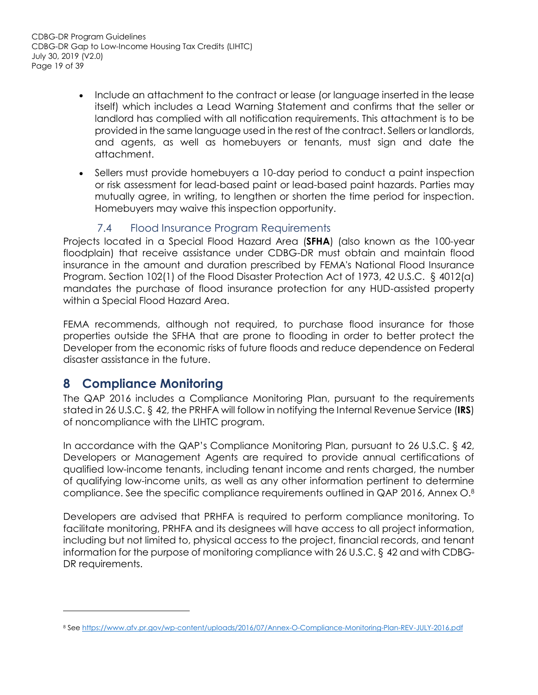- Include an attachment to the contract or lease (or language inserted in the lease itself) which includes a Lead Warning Statement and confirms that the seller or landlord has complied with all notification requirements. This attachment is to be provided in the same language used in the rest of the contract. Sellers or landlords, and agents, as well as homebuyers or tenants, must sign and date the attachment.
- Sellers must provide homebuyers a 10-day period to conduct a paint inspection or risk assessment for lead-based paint or lead-based paint hazards. Parties may mutually agree, in writing, to lengthen or shorten the time period for inspection. Homebuyers may waive this inspection opportunity.

#### 7.4 Flood Insurance Program Requirements

<span id="page-18-0"></span>Projects located in a Special Flood Hazard Area (**SFHA**) (also known as the 100-year floodplain) that receive assistance under CDBG-DR must obtain and maintain flood insurance in the amount and duration prescribed by FEMA's National Flood Insurance Program. Section 102(1) of the Flood Disaster Protection Act of 1973, 42 U.S.C. § 4012(a) mandates the purchase of flood insurance protection for any HUD-assisted property within a Special Flood Hazard Area.

FEMA recommends, although not required, to purchase flood insurance for those properties outside the SFHA that are prone to flooding in order to better protect the Developer from the economic risks of future floods and reduce dependence on Federal disaster assistance in the future.

# <span id="page-18-1"></span>**8 Compliance Monitoring**

The QAP 2016 includes a Compliance Monitoring Plan, pursuant to the requirements stated in 26 U.S.C. § 42, the PRHFA will follow in notifying the Internal Revenue Service (**IRS**) of noncompliance with the LIHTC program.

In accordance with the QAP's Compliance Monitoring Plan, pursuant to 26 U.S.C. § 42, Developers or Management Agents are required to provide annual certifications of qualified low-income tenants, including tenant income and rents charged, the number of qualifying low-income units, as well as any other information pertinent to determine compliance. See the specific compliance requirements outlined in QAP 2016, Annex O.<sup>8</sup>

Developers are advised that PRHFA is required to perform compliance monitoring. To facilitate monitoring, PRHFA and its designees will have access to all project information, including but not limited to, physical access to the project, financial records, and tenant information for the purpose of monitoring compliance with 26 U.S.C. § 42 and with CDBG-DR requirements.

<sup>8</sup> Se[e https://www.afv.pr.gov/wp-content/uploads/2016/07/Annex-O-Compliance-Monitoring-Plan-REV-JULY-2016.pdf](https://www.afv.pr.gov/wp-content/uploads/2016/07/Annex-O-Compliance-Monitoring-Plan-REV-JULY-2016.pdf)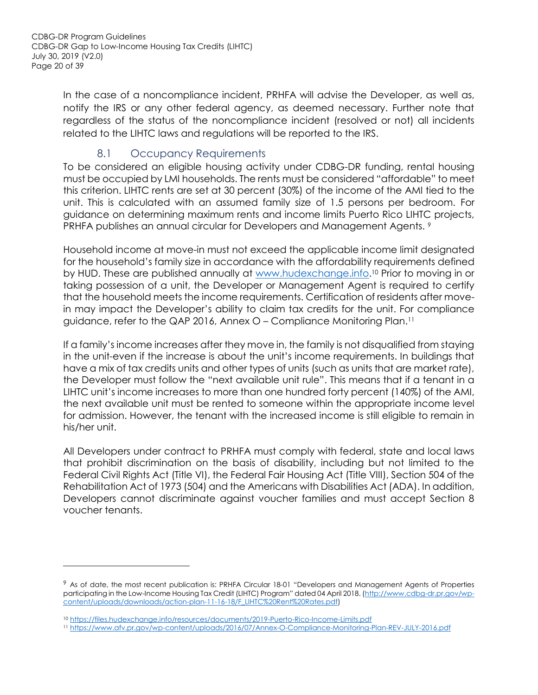In the case of a noncompliance incident, PRHFA will advise the Developer, as well as, notify the IRS or any other federal agency, as deemed necessary. Further note that regardless of the status of the noncompliance incident (resolved or not) all incidents related to the LIHTC laws and regulations will be reported to the IRS.

## 8.1 Occupancy Requirements

<span id="page-19-0"></span>To be considered an eligible housing activity under CDBG-DR funding, rental housing must be occupied by LMI households. The rents must be considered "affordable" to meet this criterion. LIHTC rents are set at 30 percent (30%) of the income of the AMI tied to the unit. This is calculated with an assumed family size of 1.5 persons per bedroom. For guidance on determining maximum rents and income limits Puerto Rico LIHTC projects, PRHFA publishes an annual circular for Developers and Management Agents.<sup>9</sup>

Household income at move-in must not exceed the applicable income limit designated for the household's family size in accordance with the affordability requirements defined by HUD. These are published annually at [www.hudexchange.info.](http://www.hudexchange.info/)<sup>10</sup> Prior to moving in or taking possession of a unit, the Developer or Management Agent is required to certify that the household meets the income requirements. Certification of residents after movein may impact the Developer's ability to claim tax credits for the unit. For compliance guidance, refer to the QAP 2016, Annex O – Compliance Monitoring Plan. 11

If a family's income increases after they move in, the family is not disqualified from staying in the unit-even if the increase is about the unit's income requirements. In buildings that have a mix of tax credits units and other types of units (such as units that are market rate), the Developer must follow the "next available unit rule". This means that if a tenant in a LIHTC unit's income increases to more than one hundred forty percent (140%) of the AMI, the next available unit must be rented to someone within the appropriate income level for admission. However, the tenant with the increased income is still eligible to remain in his/her unit.

All Developers under contract to PRHFA must comply with federal, state and local laws that prohibit discrimination on the basis of disability, including but not limited to the Federal Civil Rights Act (Title VI), the Federal Fair Housing Act (Title VIII), Section 504 of the Rehabilitation Act of 1973 (504) and the Americans with Disabilities Act (ADA). In addition, Developers cannot discriminate against voucher families and must accept Section 8 voucher tenants.

 $\overline{a}$ 

<sup>9</sup> As of date, the most recent publication is: PRHFA Circular 18-01 "Developers and Management Agents of Properties participating in the Low-Income Housing Tax Credit (LIHTC) Program" dated 04 April 2018. ([http://www.cdbg-dr.pr.gov/wp](http://www.cdbg-dr.pr.gov/wp-content/uploads/downloads/action-plan-11-16-18/F_LIHTC%20Rent%20Rates.pdf)[content/uploads/downloads/action-plan-11-16-18/F\\_LIHTC%20Rent%20Rates.pdf\)](http://www.cdbg-dr.pr.gov/wp-content/uploads/downloads/action-plan-11-16-18/F_LIHTC%20Rent%20Rates.pdf)

<sup>10</sup> https://files.hudexchange.info/resources/documents/2019-Puerto-Rico-Income-Limits.pdf

<sup>11</sup> <https://www.afv.pr.gov/wp-content/uploads/2016/07/Annex-O-Compliance-Monitoring-Plan-REV-JULY-2016.pdf>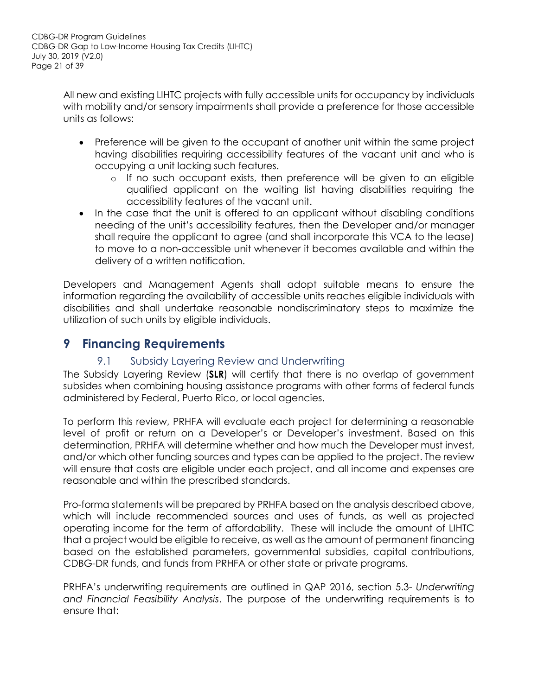All new and existing LIHTC projects with fully accessible units for occupancy by individuals with mobility and/or sensory impairments shall provide a preference for those accessible units as follows:

- Preference will be given to the occupant of another unit within the same project having disabilities requiring accessibility features of the vacant unit and who is occupying a unit lacking such features.
	- o If no such occupant exists, then preference will be given to an eligible qualified applicant on the waiting list having disabilities requiring the accessibility features of the vacant unit.
- In the case that the unit is offered to an applicant without disabling conditions needing of the unit's accessibility features, then the Developer and/or manager shall require the applicant to agree (and shall incorporate this VCA to the lease) to move to a non-accessible unit whenever it becomes available and within the delivery of a written notification.

Developers and Management Agents shall adopt suitable means to ensure the information regarding the availability of accessible units reaches eligible individuals with disabilities and shall undertake reasonable nondiscriminatory steps to maximize the utilization of such units by eligible individuals.

# <span id="page-20-0"></span>**9 Financing Requirements**

#### <span id="page-20-1"></span>9.1 Subsidy Layering Review and Underwriting

The Subsidy Layering Review (**SLR**) will certify that there is no overlap of government subsides when combining housing assistance programs with other forms of federal funds administered by Federal, Puerto Rico, or local agencies.

To perform this review, PRHFA will evaluate each project for determining a reasonable level of profit or return on a Developer's or Developer's investment. Based on this determination, PRHFA will determine whether and how much the Developer must invest, and/or which other funding sources and types can be applied to the project. The review will ensure that costs are eligible under each project, and all income and expenses are reasonable and within the prescribed standards.

Pro-forma statements will be prepared by PRHFA based on the analysis described above, which will include recommended sources and uses of funds, as well as projected operating income for the term of affordability. These will include the amount of LIHTC that a project would be eligible to receive, as well as the amount of permanent financing based on the established parameters, governmental subsidies, capital contributions, CDBG-DR funds, and funds from PRHFA or other state or private programs.

PRHFA's underwriting requirements are outlined in QAP 2016, section 5.3- *Underwriting and Financial Feasibility Analysis*. The purpose of the underwriting requirements is to ensure that: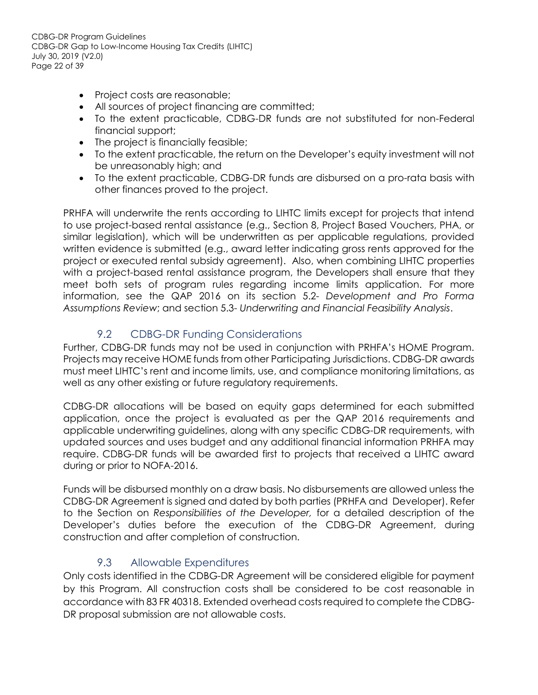CDBG-DR Program Guidelines CDBG-DR Gap to Low-Income Housing Tax Credits (LIHTC) July 30, 2019 (V2.0) Page 22 of 39

- Project costs are reasonable;
- All sources of project financing are committed;
- To the extent practicable, CDBG-DR funds are not substituted for non-Federal financial support;
- The project is financially feasible;
- To the extent practicable, the return on the Developer's equity investment will not be unreasonably high; and
- To the extent practicable, CDBG-DR funds are disbursed on a pro-rata basis with other finances proved to the project.

PRHFA will underwrite the rents according to LIHTC limits except for projects that intend to use project-based rental assistance (e.g., Section 8, Project Based Vouchers, PHA, or similar legislation), which will be underwritten as per applicable regulations, provided written evidence is submitted (e.g., award letter indicating gross rents approved for the project or executed rental subsidy agreement). Also, when combining LIHTC properties with a project-based rental assistance program, the Developers shall ensure that they meet both sets of program rules regarding income limits application. For more information, see the QAP 2016 on its section 5.2- *Development and Pro Forma Assumptions Review*; and section 5.3- *Underwriting and Financial Feasibility Analysis*.

## 9.2 CDBG-DR Funding Considerations

<span id="page-21-0"></span>Further, CDBG-DR funds may not be used in conjunction with PRHFA's HOME Program. Projects may receive HOME funds from other Participating Jurisdictions. CDBG-DR awards must meet LIHTC's rent and income limits, use, and compliance monitoring limitations, as well as any other existing or future regulatory requirements.

CDBG-DR allocations will be based on equity gaps determined for each submitted application, once the project is evaluated as per the QAP 2016 requirements and applicable underwriting guidelines, along with any specific CDBG-DR requirements, with updated sources and uses budget and any additional financial information PRHFA may require. CDBG-DR funds will be awarded first to projects that received a LIHTC award during or prior to NOFA-2016.

Funds will be disbursed monthly on a draw basis. No disbursements are allowed unless the CDBG-DR Agreement is signed and dated by both parties (PRHFA and Developer). Refer to the Section on *Responsibilities of the Developer,* for a detailed description of the Developer's duties before the execution of the CDBG-DR Agreement, during construction and after completion of construction.

#### 9.3 Allowable Expenditures

<span id="page-21-1"></span>Only costs identified in the CDBG-DR Agreement will be considered eligible for payment by this Program. All construction costs shall be considered to be cost reasonable in accordance with 83 FR 40318. Extended overhead costs required to complete the CDBG-DR proposal submission are not allowable costs.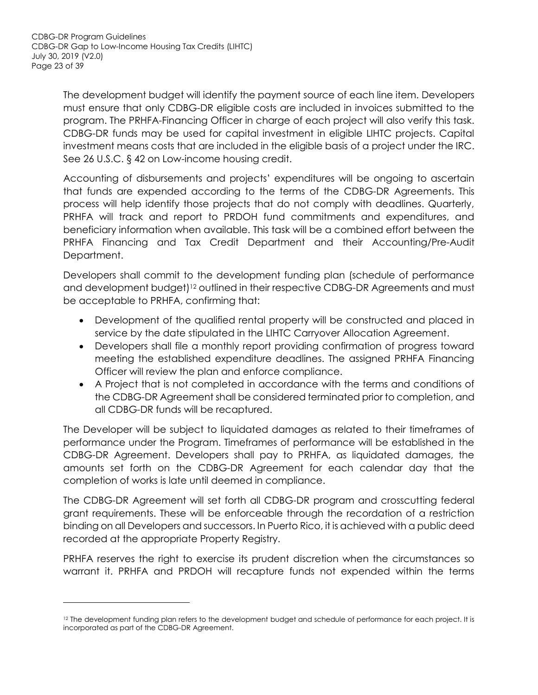The development budget will identify the payment source of each line item. Developers must ensure that only CDBG-DR eligible costs are included in invoices submitted to the program. The PRHFA-Financing Officer in charge of each project will also verify this task. CDBG-DR funds may be used for capital investment in eligible LIHTC projects. Capital investment means costs that are included in the eligible basis of a project under the IRC. See 26 U.S.C. § 42 on Low-income housing credit.

Accounting of disbursements and projects' expenditures will be ongoing to ascertain that funds are expended according to the terms of the CDBG-DR Agreements. This process will help identify those projects that do not comply with deadlines. Quarterly, PRHFA will track and report to PRDOH fund commitments and expenditures, and beneficiary information when available. This task will be a combined effort between the PRHFA Financing and Tax Credit Department and their Accounting/Pre-Audit Department.

Developers shall commit to the development funding plan (schedule of performance and development budget)<sup>12</sup> outlined in their respective CDBG-DR Agreements and must be acceptable to PRHFA, confirming that:

- Development of the qualified rental property will be constructed and placed in service by the date stipulated in the LIHTC Carryover Allocation Agreement.
- Developers shall file a monthly report providing confirmation of progress toward meeting the established expenditure deadlines. The assigned PRHFA Financing Officer will review the plan and enforce compliance.
- A Project that is not completed in accordance with the terms and conditions of the CDBG-DR Agreement shall be considered terminated prior to completion, and all CDBG-DR funds will be recaptured.

The Developer will be subject to liquidated damages as related to their timeframes of performance under the Program. Timeframes of performance will be established in the CDBG-DR Agreement. Developers shall pay to PRHFA, as liquidated damages, the amounts set forth on the CDBG-DR Agreement for each calendar day that the completion of works is late until deemed in compliance.

The CDBG-DR Agreement will set forth all CDBG-DR program and crosscutting federal grant requirements. These will be enforceable through the recordation of a restriction binding on all Developers and successors. In Puerto Rico, it is achieved with a public deed recorded at the appropriate Property Registry.

PRHFA reserves the right to exercise its prudent discretion when the circumstances so warrant it. PRHFA and PRDOH will recapture funds not expended within the terms

<sup>&</sup>lt;sup>12</sup> The development funding plan refers to the development budget and schedule of performance for each project. It is incorporated as part of the CDBG-DR Agreement.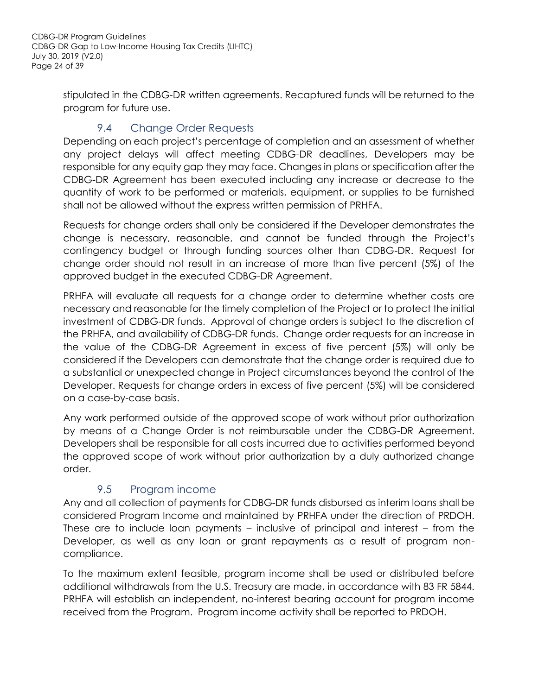stipulated in the CDBG-DR written agreements. Recaptured funds will be returned to the program for future use.

## 9.4 Change Order Requests

<span id="page-23-0"></span>Depending on each project's percentage of completion and an assessment of whether any project delays will affect meeting CDBG-DR deadlines, Developers may be responsible for any equity gap they may face. Changes in plans or specification after the CDBG-DR Agreement has been executed including any increase or decrease to the quantity of work to be performed or materials, equipment, or supplies to be furnished shall not be allowed without the express written permission of PRHFA.

Requests for change orders shall only be considered if the Developer demonstrates the change is necessary, reasonable, and cannot be funded through the Project's contingency budget or through funding sources other than CDBG-DR. Request for change order should not result in an increase of more than five percent (5%) of the approved budget in the executed CDBG-DR Agreement.

PRHFA will evaluate all requests for a change order to determine whether costs are necessary and reasonable for the timely completion of the Project or to protect the initial investment of CDBG-DR funds. Approval of change orders is subject to the discretion of the PRHFA, and availability of CDBG-DR funds. Change order requests for an increase in the value of the CDBG-DR Agreement in excess of five percent (5%) will only be considered if the Developers can demonstrate that the change order is required due to a substantial or unexpected change in Project circumstances beyond the control of the Developer. Requests for change orders in excess of five percent (5%) will be considered on a case-by-case basis.

Any work performed outside of the approved scope of work without prior authorization by means of a Change Order is not reimbursable under the CDBG-DR Agreement. Developers shall be responsible for all costs incurred due to activities performed beyond the approved scope of work without prior authorization by a duly authorized change order.

## 9.5 Program income

<span id="page-23-1"></span>Any and all collection of payments for CDBG-DR funds disbursed as interim loans shall be considered Program Income and maintained by PRHFA under the direction of PRDOH. These are to include loan payments – inclusive of principal and interest – from the Developer, as well as any loan or grant repayments as a result of program noncompliance.

To the maximum extent feasible, program income shall be used or distributed before additional withdrawals from the U.S. Treasury are made, in accordance with 83 FR 5844. PRHFA will establish an independent, no-interest bearing account for program income received from the Program. Program income activity shall be reported to PRDOH.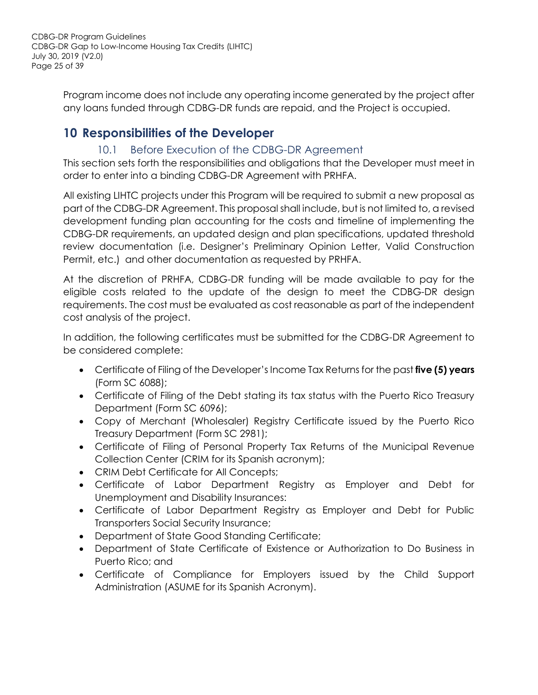Program income does not include any operating income generated by the project after any loans funded through CDBG-DR funds are repaid, and the Project is occupied.

# <span id="page-24-0"></span>**10 Responsibilities of the Developer**

## <span id="page-24-1"></span>10.1 Before Execution of the CDBG-DR Agreement

This section sets forth the responsibilities and obligations that the Developer must meet in order to enter into a binding CDBG-DR Agreement with PRHFA.

All existing LIHTC projects under this Program will be required to submit a new proposal as part of the CDBG-DR Agreement. This proposal shall include, but is not limited to, a revised development funding plan accounting for the costs and timeline of implementing the CDBG-DR requirements, an updated design and plan specifications, updated threshold review documentation (i.e. Designer's Preliminary Opinion Letter, Valid Construction Permit, etc.) and other documentation as requested by PRHFA.

At the discretion of PRHFA, CDBG-DR funding will be made available to pay for the eligible costs related to the update of the design to meet the CDBG-DR design requirements. The cost must be evaluated as cost reasonable as part of the independent cost analysis of the project.

In addition, the following certificates must be submitted for the CDBG-DR Agreement to be considered complete:

- Certificate of Filing of the Developer's Income Tax Returns for the past **five (5) years** (Form SC 6088);
- Certificate of Filing of the Debt stating its tax status with the Puerto Rico Treasury Department (Form SC 6096);
- Copy of Merchant (Wholesaler) Registry Certificate issued by the Puerto Rico Treasury Department (Form SC 2981);
- Certificate of Filing of Personal Property Tax Returns of the Municipal Revenue Collection Center (CRIM for its Spanish acronym);
- CRIM Debt Certificate for All Concepts;
- Certificate of Labor Department Registry as Employer and Debt for Unemployment and Disability Insurances:
- Certificate of Labor Department Registry as Employer and Debt for Public Transporters Social Security Insurance;
- Department of State Good Standing Certificate;
- Department of State Certificate of Existence or Authorization to Do Business in Puerto Rico; and
- Certificate of Compliance for Employers issued by the Child Support Administration (ASUME for its Spanish Acronym).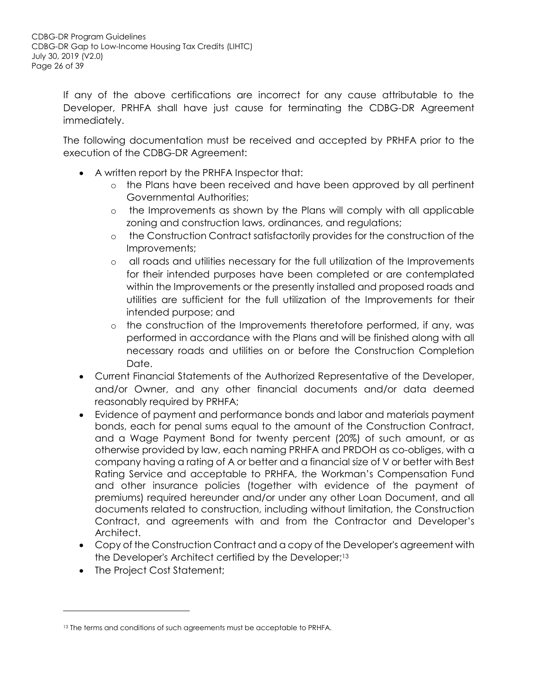If any of the above certifications are incorrect for any cause attributable to the Developer, PRHFA shall have just cause for terminating the CDBG-DR Agreement immediately.

The following documentation must be received and accepted by PRHFA prior to the execution of the CDBG-DR Agreement:

- A written report by the PRHFA Inspector that:
	- o the Plans have been received and have been approved by all pertinent Governmental Authorities;
	- o the Improvements as shown by the Plans will comply with all applicable zoning and construction laws, ordinances, and regulations;
	- o the Construction Contract satisfactorily provides for the construction of the Improvements;
	- o all roads and utilities necessary for the full utilization of the Improvements for their intended purposes have been completed or are contemplated within the Improvements or the presently installed and proposed roads and utilities are sufficient for the full utilization of the Improvements for their intended purpose; and
	- o the construction of the Improvements theretofore performed, if any, was performed in accordance with the Plans and will be finished along with all necessary roads and utilities on or before the Construction Completion Date.
- Current Financial Statements of the Authorized Representative of the Developer, and/or Owner, and any other financial documents and/or data deemed reasonably required by PRHFA;
- Evidence of payment and performance bonds and labor and materials payment bonds, each for penal sums equal to the amount of the Construction Contract, and a Wage Payment Bond for twenty percent (20%) of such amount, or as otherwise provided by law, each naming PRHFA and PRDOH as co-obliges, with a company having a rating of A or better and a financial size of V or better with Best Rating Service and acceptable to PRHFA, the Workman's Compensation Fund and other insurance policies (together with evidence of the payment of premiums) required hereunder and/or under any other Loan Document, and all documents related to construction, including without limitation, the Construction Contract, and agreements with and from the Contractor and Developer's Architect.
- Copy of the Construction Contract and a copy of the Developer's agreement with the Developer's Architect certified by the Developer; 13
- The Project Cost Statement;

<sup>&</sup>lt;sup>13</sup> The terms and conditions of such agreements must be acceptable to PRHFA.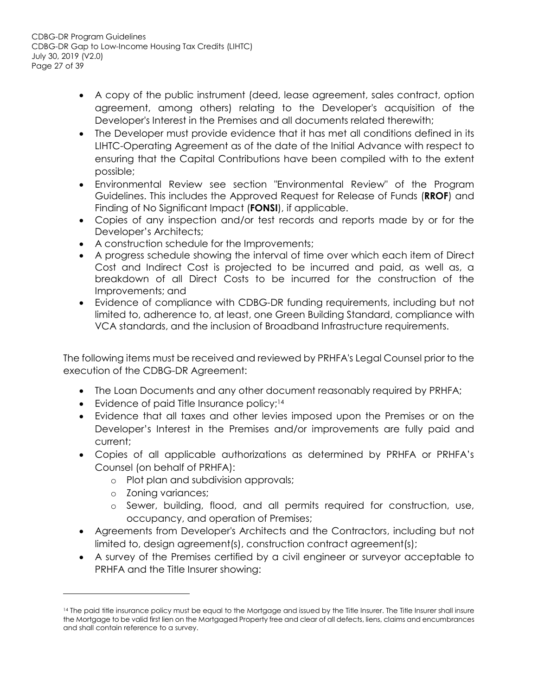- A copy of the public instrument (deed, lease agreement, sales contract, option agreement, among others) relating to the Developer's acquisition of the Developer's Interest in the Premises and all documents related therewith;
- The Developer must provide evidence that it has met all conditions defined in its LIHTC-Operating Agreement as of the date of the Initial Advance with respect to ensuring that the Capital Contributions have been compiled with to the extent possible;
- Environmental Review see section "Environmental Review" of the Program Guidelines. This includes the Approved Request for Release of Funds (**RROF**) and Finding of No Significant Impact (**FONSI**), if applicable.
- Copies of any inspection and/or test records and reports made by or for the Developer's Architects;
- A construction schedule for the Improvements;
- A progress schedule showing the interval of time over which each item of Direct Cost and Indirect Cost is projected to be incurred and paid, as well as, a breakdown of all Direct Costs to be incurred for the construction of the Improvements; and
- Evidence of compliance with CDBG-DR funding requirements, including but not limited to, adherence to, at least, one Green Building Standard, compliance with VCA standards, and the inclusion of Broadband Infrastructure requirements.

The following items must be received and reviewed by PRHFA's Legal Counsel prior to the execution of the CDBG-DR Agreement:

- The Loan Documents and any other document reasonably required by PRHFA;
- Evidence of paid Title Insurance policy;<sup>14</sup>
- Evidence that all taxes and other levies imposed upon the Premises or on the Developer's Interest in the Premises and/or improvements are fully paid and current;
- Copies of all applicable authorizations as determined by PRHFA or PRHFA's Counsel (on behalf of PRHFA):
	- o Plot plan and subdivision approvals;
	- o Zoning variances;

- o Sewer, building, flood, and all permits required for construction, use, occupancy, and operation of Premises;
- Agreements from Developer's Architects and the Contractors, including but not limited to, design agreement(s), construction contract agreement(s);
- A survey of the Premises certified by a civil engineer or surveyor acceptable to PRHFA and the Title Insurer showing:

<sup>14</sup> The paid title insurance policy must be equal to the Mortgage and issued by the Title Insurer. The Title Insurer shall insure the Mortgage to be valid first lien on the Mortgaged Property free and clear of all defects, liens, claims and encumbrances and shall contain reference to a survey.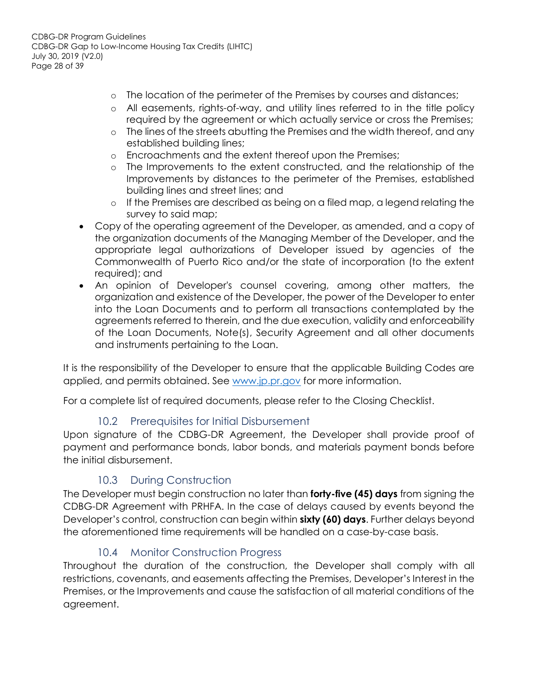- o The location of the perimeter of the Premises by courses and distances;
- o All easements, rights-of-way, and utility lines referred to in the title policy required by the agreement or which actually service or cross the Premises;
- o The lines of the streets abutting the Premises and the width thereof, and any established building lines;
- o Encroachments and the extent thereof upon the Premises;
- o The Improvements to the extent constructed, and the relationship of the Improvements by distances to the perimeter of the Premises, established building lines and street lines; and
- o If the Premises are described as being on a filed map, a legend relating the survey to said map;
- Copy of the operating agreement of the Developer, as amended, and a copy of the organization documents of the Managing Member of the Developer, and the appropriate legal authorizations of Developer issued by agencies of the Commonwealth of Puerto Rico and/or the state of incorporation (to the extent required); and
- An opinion of Developer's counsel covering, among other matters, the organization and existence of the Developer, the power of the Developer to enter into the Loan Documents and to perform all transactions contemplated by the agreements referred to therein, and the due execution, validity and enforceability of the Loan Documents, Note(s), Security Agreement and all other documents and instruments pertaining to the Loan.

It is the responsibility of the Developer to ensure that the applicable Building Codes are applied, and permits obtained. See [www.jp.pr.gov](http://www.jp.pr.gov/) for more information.

For a complete list of required documents, please refer to the Closing Checklist.

#### 10.2 Prerequisites for Initial Disbursement

<span id="page-27-0"></span>Upon signature of the CDBG-DR Agreement, the Developer shall provide proof of payment and performance bonds, labor bonds, and materials payment bonds before the initial disbursement.

## 10.3 During Construction

<span id="page-27-1"></span>The Developer must begin construction no later than **forty-five (45) days** from signing the CDBG-DR Agreement with PRHFA. In the case of delays caused by events beyond the Developer's control, construction can begin within **sixty (60) days**. Further delays beyond the aforementioned time requirements will be handled on a case-by-case basis.

## 10.4 Monitor Construction Progress

<span id="page-27-2"></span>Throughout the duration of the construction, the Developer shall comply with all restrictions, covenants, and easements affecting the Premises, Developer's Interest in the Premises, or the Improvements and cause the satisfaction of all material conditions of the agreement.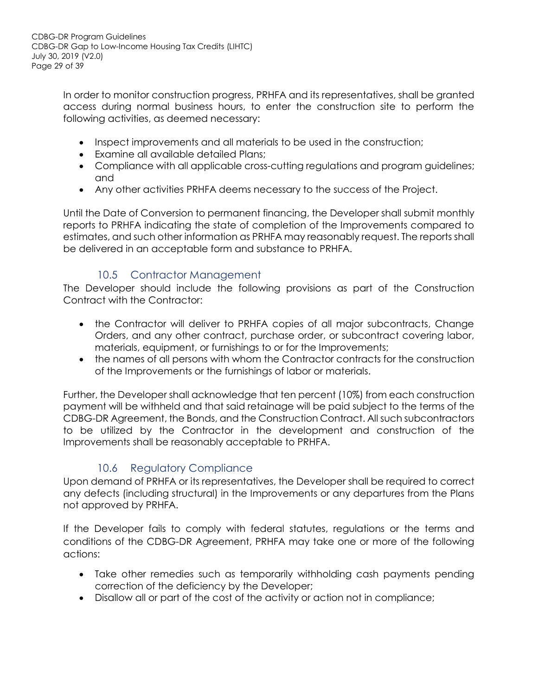In order to monitor construction progress, PRHFA and its representatives, shall be granted access during normal business hours, to enter the construction site to perform the following activities, as deemed necessary:

- Inspect improvements and all materials to be used in the construction;
- Examine all available detailed Plans:
- Compliance with all applicable cross-cutting regulations and program guidelines; and
- Any other activities PRHFA deems necessary to the success of the Project.

Until the Date of Conversion to permanent financing, the Developer shall submit monthly reports to PRHFA indicating the state of completion of the Improvements compared to estimates, and such other information as PRHFA may reasonably request. The reports shall be delivered in an acceptable form and substance to PRHFA.

## 10.5 Contractor Management

<span id="page-28-0"></span>The Developer should include the following provisions as part of the Construction Contract with the Contractor:

- the Contractor will deliver to PRHFA copies of all major subcontracts, Change Orders, and any other contract, purchase order, or subcontract covering labor, materials, equipment, or furnishings to or for the Improvements;
- the names of all persons with whom the Contractor contracts for the construction of the Improvements or the furnishings of labor or materials.

Further, the Developer shall acknowledge that ten percent (10%) from each construction payment will be withheld and that said retainage will be paid subject to the terms of the CDBG-DR Agreement, the Bonds, and the Construction Contract. All such subcontractors to be utilized by the Contractor in the development and construction of the Improvements shall be reasonably acceptable to PRHFA.

## 10.6 Regulatory Compliance

<span id="page-28-1"></span>Upon demand of PRHFA or its representatives, the Developer shall be required to correct any defects (including structural) in the Improvements or any departures from the Plans not approved by PRHFA.

If the Developer fails to comply with federal statutes, regulations or the terms and conditions of the CDBG-DR Agreement, PRHFA may take one or more of the following actions:

- Take other remedies such as temporarily withholding cash payments pending correction of the deficiency by the Developer;
- Disallow all or part of the cost of the activity or action not in compliance;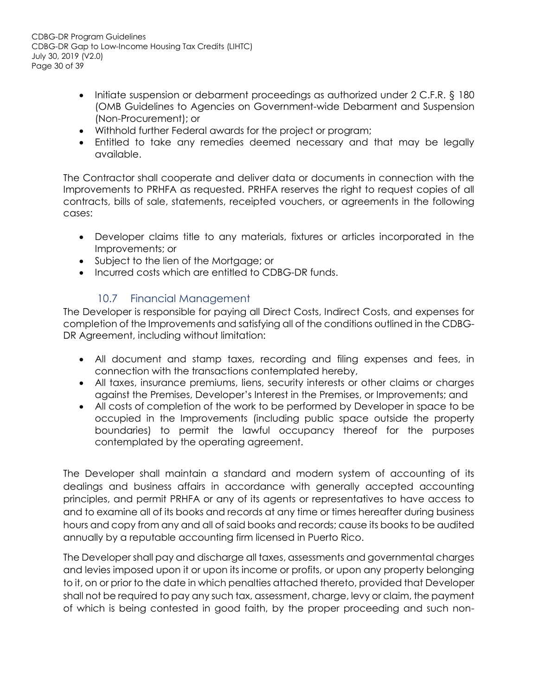CDBG-DR Program Guidelines CDBG-DR Gap to Low-Income Housing Tax Credits (LIHTC) July 30, 2019 (V2.0) Page 30 of 39

- Initiate suspension or debarment proceedings as authorized under 2 C.F.R. § 180 (OMB Guidelines to Agencies on Government-wide Debarment and Suspension (Non-Procurement); or
- Withhold further Federal awards for the project or program;
- Entitled to take any remedies deemed necessary and that may be legally available.

The Contractor shall cooperate and deliver data or documents in connection with the Improvements to PRHFA as requested. PRHFA reserves the right to request copies of all contracts, bills of sale, statements, receipted vouchers, or agreements in the following cases:

- Developer claims title to any materials, fixtures or articles incorporated in the Improvements; or
- Subject to the lien of the Mortgage; or
- Incurred costs which are entitled to CDBG-DR funds.

## 10.7 Financial Management

<span id="page-29-0"></span>The Developer is responsible for paying all Direct Costs, Indirect Costs, and expenses for completion of the Improvements and satisfying all of the conditions outlined in the CDBG-DR Agreement, including without limitation:

- All document and stamp taxes, recording and filing expenses and fees, in connection with the transactions contemplated hereby,
- All taxes, insurance premiums, liens, security interests or other claims or charges against the Premises, Developer's Interest in the Premises, or Improvements; and
- All costs of completion of the work to be performed by Developer in space to be occupied in the Improvements (including public space outside the property boundaries) to permit the lawful occupancy thereof for the purposes contemplated by the operating agreement.

The Developer shall maintain a standard and modern system of accounting of its dealings and business affairs in accordance with generally accepted accounting principles, and permit PRHFA or any of its agents or representatives to have access to and to examine all of its books and records at any time or times hereafter during business hours and copy from any and all of said books and records; cause its books to be audited annually by a reputable accounting firm licensed in Puerto Rico.

The Developer shall pay and discharge all taxes, assessments and governmental charges and levies imposed upon it or upon its income or profits, or upon any property belonging to it, on or prior to the date in which penalties attached thereto, provided that Developer shall not be required to pay any such tax, assessment, charge, levy or claim, the payment of which is being contested in good faith, by the proper proceeding and such non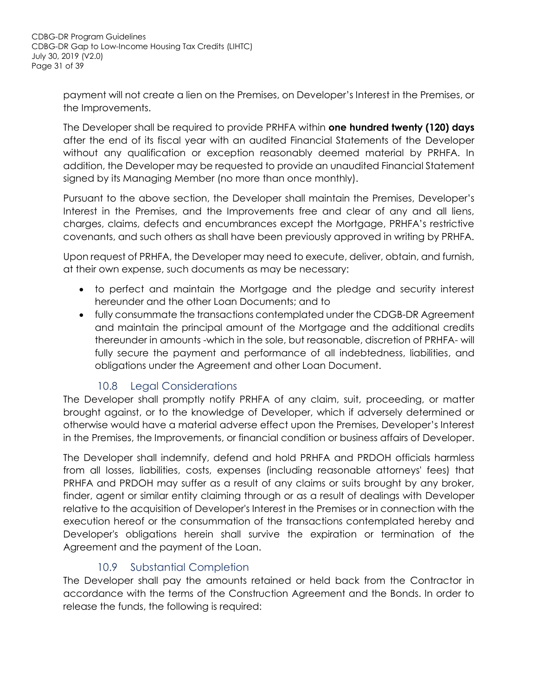payment will not create a lien on the Premises, on Developer's Interest in the Premises, or the Improvements.

The Developer shall be required to provide PRHFA within **one hundred twenty (120) days** after the end of its fiscal year with an audited Financial Statements of the Developer without any qualification or exception reasonably deemed material by PRHFA. In addition, the Developer may be requested to provide an unaudited Financial Statement signed by its Managing Member (no more than once monthly).

Pursuant to the above section, the Developer shall maintain the Premises, Developer's Interest in the Premises, and the Improvements free and clear of any and all liens, charges, claims, defects and encumbrances except the Mortgage, PRHFA's restrictive covenants, and such others as shall have been previously approved in writing by PRHFA.

Upon request of PRHFA, the Developer may need to execute, deliver, obtain, and furnish, at their own expense, such documents as may be necessary:

- to perfect and maintain the Mortgage and the pledge and security interest hereunder and the other Loan Documents; and to
- fully consummate the transactions contemplated under the CDGB-DR Agreement and maintain the principal amount of the Mortgage and the additional credits thereunder in amounts -which in the sole, but reasonable, discretion of PRHFA- will fully secure the payment and performance of all indebtedness, liabilities, and obligations under the Agreement and other Loan Document.

## 10.8 Legal Considerations

<span id="page-30-0"></span>The Developer shall promptly notify PRHFA of any claim, suit, proceeding, or matter brought against, or to the knowledge of Developer, which if adversely determined or otherwise would have a material adverse effect upon the Premises, Developer's Interest in the Premises, the Improvements, or financial condition or business affairs of Developer.

The Developer shall indemnify, defend and hold PRHFA and PRDOH officials harmless from all losses, liabilities, costs, expenses (including reasonable attorneys' fees) that PRHFA and PRDOH may suffer as a result of any claims or suits brought by any broker, finder, agent or similar entity claiming through or as a result of dealings with Developer relative to the acquisition of Developer's Interest in the Premises or in connection with the execution hereof or the consummation of the transactions contemplated hereby and Developer's obligations herein shall survive the expiration or termination of the Agreement and the payment of the Loan.

## 10.9 Substantial Completion

<span id="page-30-1"></span>The Developer shall pay the amounts retained or held back from the Contractor in accordance with the terms of the Construction Agreement and the Bonds. In order to release the funds, the following is required: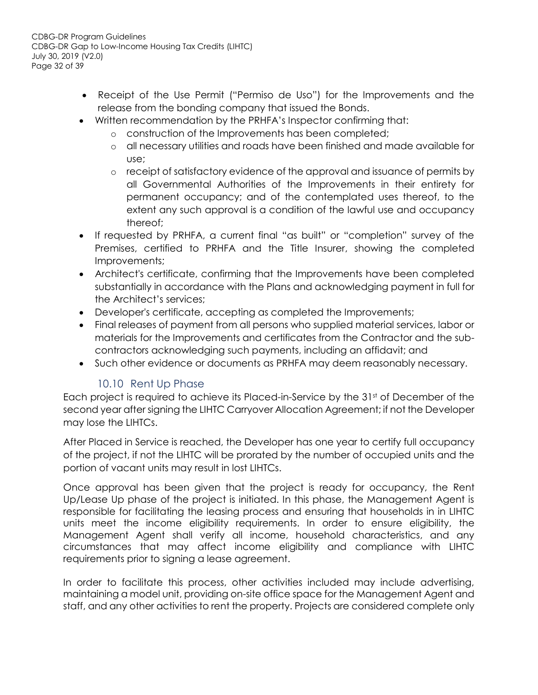CDBG-DR Program Guidelines CDBG-DR Gap to Low-Income Housing Tax Credits (LIHTC) July 30, 2019 (V2.0) Page 32 of 39

- Receipt of the Use Permit ("Permiso de Uso") for the Improvements and the release from the bonding company that issued the Bonds.
- Written recommendation by the PRHFA's Inspector confirming that:
	- o construction of the Improvements has been completed;
	- o all necessary utilities and roads have been finished and made available for use;
	- o receipt of satisfactory evidence of the approval and issuance of permits by all Governmental Authorities of the Improvements in their entirety for permanent occupancy; and of the contemplated uses thereof, to the extent any such approval is a condition of the lawful use and occupancy thereof;
- If requested by PRHFA, a current final "as built" or "completion" survey of the Premises, certified to PRHFA and the Title Insurer, showing the completed Improvements;
- Architect's certificate, confirming that the Improvements have been completed substantially in accordance with the Plans and acknowledging payment in full for the Architect's services;
- Developer's certificate, accepting as completed the Improvements;
- Final releases of payment from all persons who supplied material services, labor or materials for the Improvements and certificates from the Contractor and the subcontractors acknowledging such payments, including an affidavit; and
- Such other evidence or documents as PRHFA may deem reasonably necessary.

# 10.10 Rent Up Phase

<span id="page-31-0"></span>Each project is required to achieve its Placed-in-Service by the 31st of December of the second year after signing the LIHTC Carryover Allocation Agreement; if not the Developer may lose the LIHTCs.

After Placed in Service is reached, the Developer has one year to certify full occupancy of the project, if not the LIHTC will be prorated by the number of occupied units and the portion of vacant units may result in lost LIHTCs.

Once approval has been given that the project is ready for occupancy, the Rent Up/Lease Up phase of the project is initiated. In this phase, the Management Agent is responsible for facilitating the leasing process and ensuring that households in in LIHTC units meet the income eligibility requirements. In order to ensure eligibility, the Management Agent shall verify all income, household characteristics, and any circumstances that may affect income eligibility and compliance with LIHTC requirements prior to signing a lease agreement.

In order to facilitate this process, other activities included may include advertising, maintaining a model unit, providing on-site office space for the Management Agent and staff, and any other activities to rent the property. Projects are considered complete only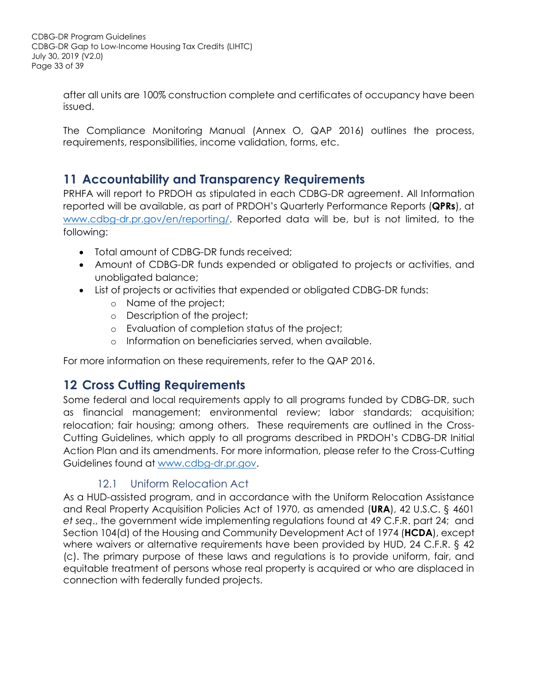after all units are 100% construction complete and certificates of occupancy have been issued.

The Compliance Monitoring Manual (Annex O, QAP 2016) outlines the process, requirements, responsibilities, income validation, forms, etc.

# <span id="page-32-0"></span>**11 Accountability and Transparency Requirements**

PRHFA will report to PRDOH as stipulated in each CDBG-DR agreement. All Information reported will be available, as part of PRDOH's Quarterly Performance Reports (**QPRs**), at [www.cdbg-dr.pr.gov/](http://www.cdbg-dr.pr.gov/)en/reporting/. Reported data will be, but is not limited, to the following:

- Total amount of CDBG-DR funds received:
- Amount of CDBG-DR funds expended or obligated to projects or activities, and unobligated balance;
- List of projects or activities that expended or obligated CDBG-DR funds:
	- o Name of the project;
	- o Description of the project;
	- o Evaluation of completion status of the project;
	- o Information on beneficiaries served, when available.

<span id="page-32-1"></span>For more information on these requirements, refer to the QAP 2016.

# **12 Cross Cutting Requirements**

Some federal and local requirements apply to all programs funded by CDBG-DR, such as financial management; environmental review; labor standards; acquisition; relocation; fair housing; among others. These requirements are outlined in the Cross-Cutting Guidelines, which apply to all programs described in PRDOH's CDBG-DR Initial Action Plan and its amendments. For more information, please refer to the Cross-Cutting Guidelines found at [www.cdbg-dr.pr.gov.](http://www.cdbg-dr.pr.gov/)

## 12.1 Uniform Relocation Act

<span id="page-32-2"></span>As a HUD-assisted program, and in accordance with the Uniform Relocation Assistance and Real Property Acquisition Policies Act of 1970, as amended (**URA**), 42 U.S.C. § 4601 *et seq*., the government wide implementing regulations found at 49 C.F.R. part 24; and Section 104(d) of the Housing and Community Development Act of 1974 (**HCDA**), except where waivers or alternative requirements have been provided by HUD, 24 C.F.R. § 42 (c). The primary purpose of these laws and regulations is to provide uniform, fair, and equitable treatment of persons whose real property is acquired or who are displaced in connection with federally funded projects.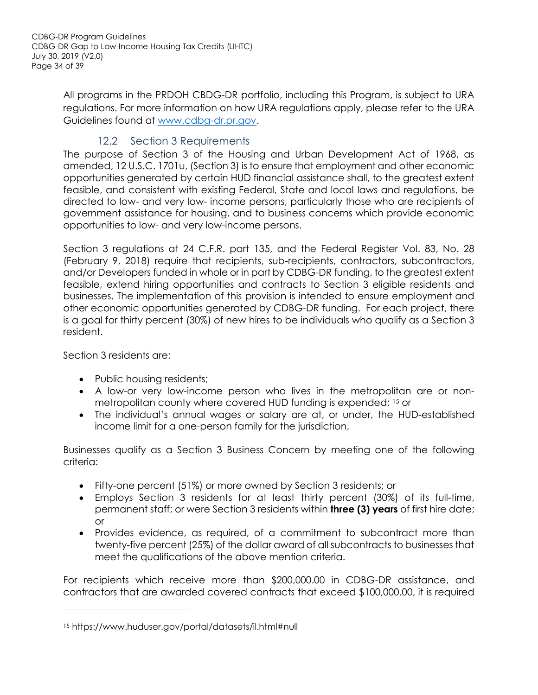All programs in the PRDOH CBDG-DR portfolio, including this Program, is subject to URA regulations. For more information on how URA regulations apply, please refer to the URA Guidelines found at [www.cdbg-dr.pr.gov.](http://www.cdbg-dr.pr.gov/)

## 12.2 Section 3 Requirements

<span id="page-33-0"></span>The purpose of Section 3 of the Housing and Urban Development Act of 1968, as amended, 12 U.S.C. 1701u, (Section 3) is to ensure that employment and other economic opportunities generated by certain HUD financial assistance shall, to the greatest extent feasible, and consistent with existing Federal, State and local laws and regulations, be directed to low- and very low- income persons, particularly those who are recipients of government assistance for housing, and to business concerns which provide economic opportunities to low- and very low-income persons.

Section 3 regulations at 24 C.F.R. part 135, and the Federal Register Vol. 83, No. 28 (February 9, 2018) require that recipients, sub-recipients, contractors, subcontractors, and/or Developers funded in whole or in part by CDBG-DR funding, to the greatest extent feasible, extend hiring opportunities and contracts to Section 3 eligible residents and businesses. The implementation of this provision is intended to ensure employment and other economic opportunities generated by CDBG-DR funding. For each project, there is a goal for thirty percent (30%) of new hires to be individuals who qualify as a Section 3 resident.

Section 3 residents are:

 $\overline{a}$ 

- Public housing residents;
- A low-or very low-income person who lives in the metropolitan are or nonmetropolitan county where covered HUD funding is expended; <sup>15</sup> or
- The individual's annual wages or salary are at, or under, the HUD-established income limit for a one-person family for the jurisdiction.

Businesses qualify as a Section 3 Business Concern by meeting one of the following criteria:

- Fifty-one percent (51%) or more owned by Section 3 residents; or
- Employs Section 3 residents for at least thirty percent (30%) of its full-time, permanent staff; or were Section 3 residents within **three (3) years** of first hire date; or
- Provides evidence, as required, of a commitment to subcontract more than twenty-five percent (25%) of the dollar award of all subcontracts to businesses that meet the qualifications of the above mention criteria.

For recipients which receive more than \$200,000.00 in CDBG-DR assistance, and contractors that are awarded covered contracts that exceed \$100,000.00, it is required

<sup>15</sup> https://www.huduser.gov/portal/datasets/il.html#null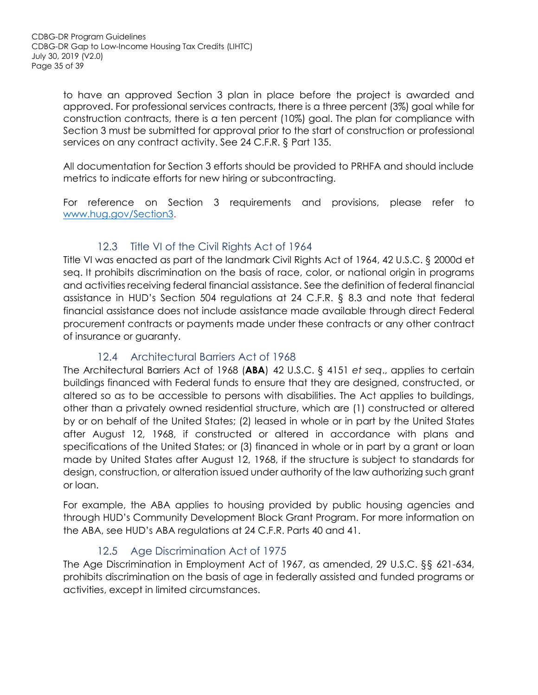to have an approved Section 3 plan in place before the project is awarded and approved. For professional services contracts, there is a three percent (3%) goal while for construction contracts, there is a ten percent (10%) goal. The plan for compliance with Section 3 must be submitted for approval prior to the start of construction or professional services on any contract activity. See 24 C.F.R. § Part 135.

All documentation for Section 3 efforts should be provided to PRHFA and should include metrics to indicate efforts for new hiring or subcontracting.

For reference on Section 3 requirements and provisions, please refer to [www.hug.gov/Section3.](http://www.hug.gov/Section3)

## 12.3 Title VI of the Civil Rights Act of 1964

<span id="page-34-0"></span>Title VI was enacted as part of the landmark Civil Rights Act of 1964, 42 U.S.C. § 2000d et seq. It prohibits discrimination on the basis of race, color, or national origin in programs and activities receiving federal financial assistance. See the definition of federal financial assistance in HUD's Section 504 regulations at 24 C.F.R. § 8.3 and note that federal financial assistance does not include assistance made available through direct Federal procurement contracts or payments made under these contracts or any other contract of insurance or guaranty.

#### 12.4 Architectural Barriers Act of 1968

<span id="page-34-1"></span>The Architectural Barriers Act of 1968 (**ABA**) 42 U.S.C. § 4151 *et seq*., applies to certain buildings financed with Federal funds to ensure that they are designed, constructed, or altered so as to be accessible to persons with disabilities. The Act applies to buildings, other than a privately owned residential structure, which are (1) constructed or altered by or on behalf of the United States; (2) leased in whole or in part by the United States after August 12, 1968, if constructed or altered in accordance with plans and specifications of the United States; or (3) financed in whole or in part by a grant or loan made by United States after August 12, 1968, if the structure is subject to standards for design, construction, or alteration issued under authority of the law authorizing such grant or loan.

For example, the ABA applies to housing provided by public housing agencies and through HUD's Community Development Block Grant Program. For more information on the ABA, see HUD's ABA regulations at 24 C.F.R. Parts 40 and 41.

#### 12.5 Age Discrimination Act of 1975

<span id="page-34-2"></span>The Age Discrimination in Employment Act of 1967, as amended, 29 U.S.C. §§ 621-634, prohibits discrimination on the basis of age in federally assisted and funded programs or activities, except in limited circumstances.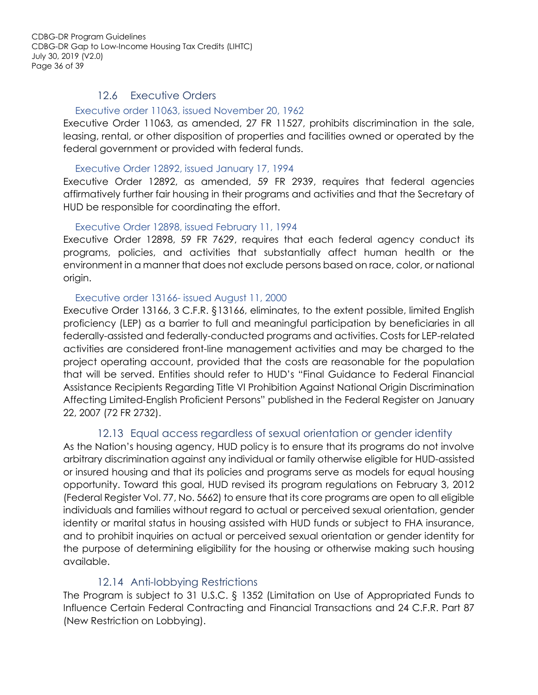CDBG-DR Program Guidelines CDBG-DR Gap to Low-Income Housing Tax Credits (LIHTC) July 30, 2019 (V2.0) Page 36 of 39

#### 12.6 Executive Orders

#### <span id="page-35-1"></span><span id="page-35-0"></span>Executive order 11063, issued November 20, 1962

Executive Order 11063, as amended, 27 FR 11527, prohibits discrimination in the sale, leasing, rental, or other disposition of properties and facilities owned or operated by the federal government or provided with federal funds.

#### <span id="page-35-2"></span>Executive Order 12892, issued January 17, 1994

Executive Order 12892, as amended, 59 FR 2939, requires that federal agencies affirmatively further fair housing in their programs and activities and that the Secretary of HUD be responsible for coordinating the effort.

#### Executive Order 12898, issued February 11, 1994

<span id="page-35-3"></span>Executive Order 12898, 59 FR 7629, requires that each federal agency conduct its programs, policies, and activities that substantially affect human health or the environment in a manner that does not exclude persons based on race, color, or national origin.

#### Executive order 13166- issued August 11, 2000

<span id="page-35-4"></span>Executive Order 13166, 3 C.F.R. §13166, eliminates, to the extent possible, limited English proficiency (LEP) as a barrier to full and meaningful participation by beneficiaries in all federally-assisted and federally-conducted programs and activities. Costs for LEP-related activities are considered front-line management activities and may be charged to the project operating account, provided that the costs are reasonable for the population that will be served. Entities should refer to HUD's "Final Guidance to Federal Financial Assistance Recipients Regarding Title VI Prohibition Against National Origin Discrimination Affecting Limited-English Proficient Persons" published in the Federal Register on January 22, 2007 (72 FR 2732).

#### 12.13 Equal access regardless of sexual orientation or gender identity

<span id="page-35-5"></span>As the Nation's housing agency, HUD policy is to ensure that its programs do not involve arbitrary discrimination against any individual or family otherwise eligible for HUD-assisted or insured housing and that its policies and programs serve as models for equal housing opportunity. Toward this goal, HUD revised its program regulations on February 3, 2012 (Federal Register Vol. 77, No. 5662) to ensure that its core programs are open to all eligible individuals and families without regard to actual or perceived sexual orientation, gender identity or marital status in housing assisted with HUD funds or subject to FHA insurance, and to prohibit inquiries on actual or perceived sexual orientation or gender identity for the purpose of determining eligibility for the housing or otherwise making such housing available.

#### 12.14 Anti-lobbying Restrictions

<span id="page-35-6"></span>The Program is subject to 31 U.S.C. § 1352 (Limitation on Use of Appropriated Funds to Influence Certain Federal Contracting and Financial Transactions and 24 C.F.R. Part 87 (New Restriction on Lobbying).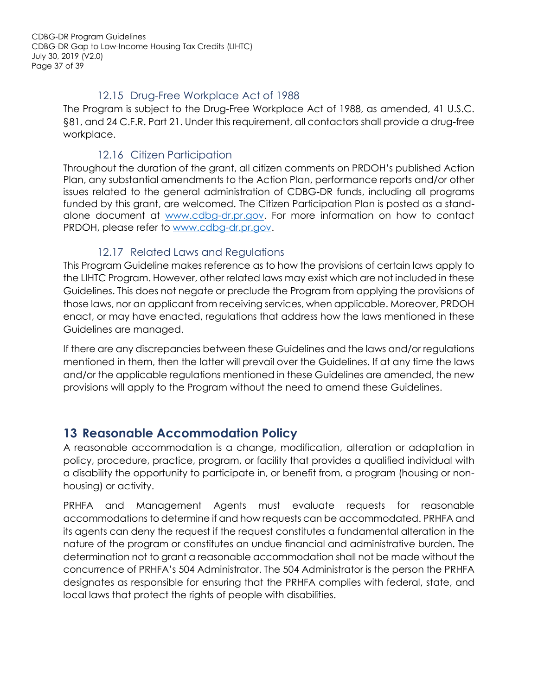CDBG-DR Program Guidelines CDBG-DR Gap to Low-Income Housing Tax Credits (LIHTC) July 30, 2019 (V2.0) Page 37 of 39

#### 12.15 Drug-Free Workplace Act of 1988

<span id="page-36-0"></span>The Program is subject to the Drug-Free Workplace Act of 1988, as amended, 41 U.S.C. §81, and 24 C.F.R. Part 21. Under this requirement, all contactors shall provide a drug-free workplace.

#### 12.16 Citizen Participation

<span id="page-36-1"></span>Throughout the duration of the grant, all citizen comments on PRDOH's published Action Plan, any substantial amendments to the Action Plan, performance reports and/or other issues related to the general administration of CDBG-DR funds, including all programs funded by this grant, are welcomed. The Citizen Participation Plan is posted as a standalone document at [www.cdbg-dr.pr.gov.](http://www.cdbg-dr.pr.gov/) For more information on how to contact PRDOH, please refer to [www.cdbg-dr.pr.gov.](http://www.cdbg-dr.pr.gov/)

#### 12.17 Related Laws and Regulations

<span id="page-36-2"></span>This Program Guideline makes reference as to how the provisions of certain laws apply to the LIHTC Program. However, other related laws may exist which are not included in these Guidelines. This does not negate or preclude the Program from applying the provisions of those laws, nor an applicant from receiving services, when applicable. Moreover, PRDOH enact, or may have enacted, regulations that address how the laws mentioned in these Guidelines are managed.

If there are any discrepancies between these Guidelines and the laws and/or regulations mentioned in them, then the latter will prevail over the Guidelines. If at any time the laws and/or the applicable regulations mentioned in these Guidelines are amended, the new provisions will apply to the Program without the need to amend these Guidelines.

# <span id="page-36-3"></span>**13 Reasonable Accommodation Policy**

A reasonable accommodation is a change, modification, alteration or adaptation in policy, procedure, practice, program, or facility that provides a qualified individual with a disability the opportunity to participate in, or benefit from, a program (housing or nonhousing) or activity.

PRHFA and Management Agents must evaluate requests for reasonable accommodations to determine if and how requests can be accommodated. PRHFA and its agents can deny the request if the request constitutes a fundamental alteration in the nature of the program or constitutes an undue financial and administrative burden. The determination not to grant a reasonable accommodation shall not be made without the concurrence of PRHFA's 504 Administrator. The 504 Administrator is the person the PRHFA designates as responsible for ensuring that the PRHFA complies with federal, state, and local laws that protect the rights of people with disabilities.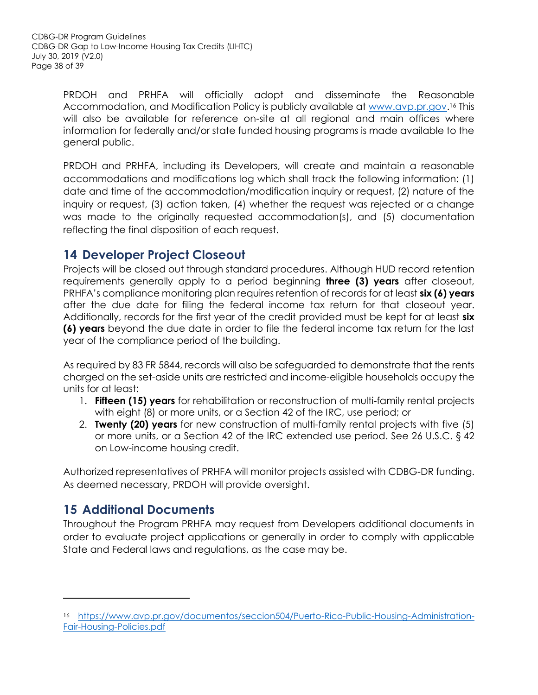CDBG-DR Program Guidelines CDBG-DR Gap to Low-Income Housing Tax Credits (LIHTC) July 30, 2019 (V2.0) Page 38 of 39

> PRDOH and PRHFA will officially adopt and disseminate the Reasonable Accommodation, and Modification Policy is publicly available at [www.avp.pr.gov.](http://www.avp.pr.gov/)<sup>16</sup> This will also be available for reference on-site at all regional and main offices where information for federally and/or state funded housing programs is made available to the general public.

> PRDOH and PRHFA, including its Developers, will create and maintain a reasonable accommodations and modifications log which shall track the following information: (1) date and time of the accommodation/modification inquiry or request, (2) nature of the inquiry or request, (3) action taken, (4) whether the request was rejected or a change was made to the originally requested accommodation(s), and (5) documentation reflecting the final disposition of each request.

# <span id="page-37-0"></span>**14 Developer Project Closeout**

Projects will be closed out through standard procedures. Although HUD record retention requirements generally apply to a period beginning **three (3) years** after closeout, PRHFA's compliance monitoring plan requires retention of records for at least **six (6) years** after the due date for filing the federal income tax return for that closeout year. Additionally, records for the first year of the credit provided must be kept for at least **six (6) years** beyond the due date in order to file the federal income tax return for the last year of the compliance period of the building.

As required by 83 FR 5844, records will also be safeguarded to demonstrate that the rents charged on the set-aside units are restricted and income-eligible households occupy the units for at least:

- 1. **Fifteen (15) years** for rehabilitation or reconstruction of multi-family rental projects with eight (8) or more units, or a Section 42 of the IRC, use period; or
- 2. **Twenty (20) years** for new construction of multi-family rental projects with five (5) or more units, or a Section 42 of the IRC extended use period. See 26 U.S.C. § 42 on Low-income housing credit.

Authorized representatives of PRHFA will monitor projects assisted with CDBG-DR funding. As deemed necessary, PRDOH will provide oversight.

# <span id="page-37-1"></span>**15 Additional Documents**

Throughout the Program PRHFA may request from Developers additional documents in order to evaluate project applications or generally in order to comply with applicable State and Federal laws and regulations, as the case may be.

<sup>16</sup> [https://www.avp.pr.gov/documentos/seccion504/Puerto-Rico-Public-Housing-Administration-](https://www.avp.pr.gov/documentos/seccion504/Puerto-Rico-Public-Housing-Administration-Fair-Housing-Policies.pdf)[Fair-Housing-Policies.pdf](https://www.avp.pr.gov/documentos/seccion504/Puerto-Rico-Public-Housing-Administration-Fair-Housing-Policies.pdf)